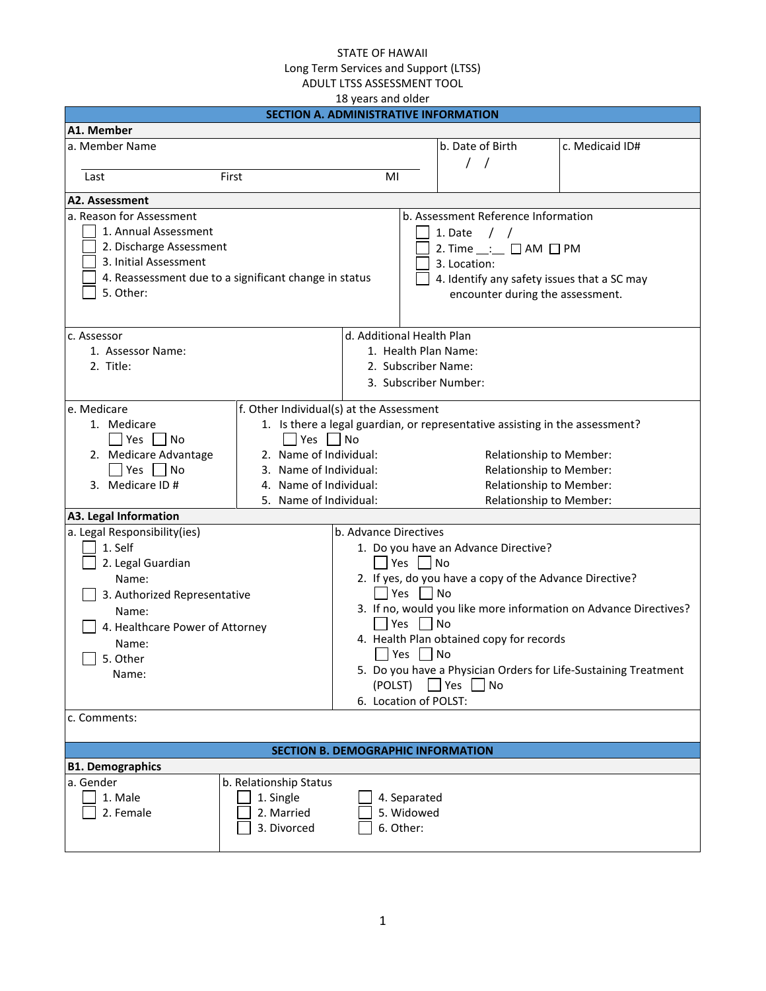|                                                       |                                                  | 18 years and older        |               |                                                                              |                                                                  |
|-------------------------------------------------------|--------------------------------------------------|---------------------------|---------------|------------------------------------------------------------------------------|------------------------------------------------------------------|
|                                                       | <b>SECTION A. ADMINISTRATIVE INFORMATION</b>     |                           |               |                                                                              |                                                                  |
| A1. Member                                            |                                                  |                           |               |                                                                              |                                                                  |
| a. Member Name                                        |                                                  |                           |               | b. Date of Birth                                                             | c. Medicaid ID#                                                  |
|                                                       |                                                  |                           |               | $\prime$<br>$\sqrt{ }$                                                       |                                                                  |
| Last<br>First                                         |                                                  | MI                        |               |                                                                              |                                                                  |
| A2. Assessment                                        |                                                  |                           |               |                                                                              |                                                                  |
| a. Reason for Assessment                              |                                                  |                           |               | b. Assessment Reference Information                                          |                                                                  |
| 1. Annual Assessment                                  |                                                  |                           |               | 1. Date $/$ /                                                                |                                                                  |
| 2. Discharge Assessment                               |                                                  |                           |               | 2. Time $\_\_ := \square$ AM $\square$ PM                                    |                                                                  |
| 3. Initial Assessment                                 |                                                  |                           |               | 3. Location:                                                                 |                                                                  |
| 4. Reassessment due to a significant change in status |                                                  |                           |               | 4. Identify any safety issues that a SC may                                  |                                                                  |
| 5. Other:                                             |                                                  |                           |               | encounter during the assessment.                                             |                                                                  |
|                                                       |                                                  |                           |               |                                                                              |                                                                  |
|                                                       |                                                  |                           |               |                                                                              |                                                                  |
| c. Assessor                                           |                                                  | d. Additional Health Plan |               |                                                                              |                                                                  |
| 1. Assessor Name:                                     |                                                  |                           |               | 1. Health Plan Name:                                                         |                                                                  |
| 2. Title:                                             |                                                  |                           |               | 2. Subscriber Name:                                                          |                                                                  |
|                                                       |                                                  |                           |               | 3. Subscriber Number:                                                        |                                                                  |
| e. Medicare                                           | f. Other Individual(s) at the Assessment         |                           |               |                                                                              |                                                                  |
| 1. Medicare                                           |                                                  |                           |               | 1. Is there a legal guardian, or representative assisting in the assessment? |                                                                  |
| Yes     No                                            | Yes $ $ No                                       |                           |               |                                                                              |                                                                  |
|                                                       | 2. Name of Individual:                           |                           |               |                                                                              |                                                                  |
| 2. Medicare Advantage<br>$\Box$ Yes $\Box$ No         | 3. Name of Individual:                           |                           |               | Relationship to Member:                                                      |                                                                  |
| 3. Medicare ID #                                      |                                                  |                           |               | Relationship to Member:<br>Relationship to Member:                           |                                                                  |
|                                                       | 4. Name of Individual:<br>5. Name of Individual: |                           |               |                                                                              |                                                                  |
| A3. Legal Information                                 |                                                  |                           |               | Relationship to Member:                                                      |                                                                  |
| a. Legal Responsibility(ies)                          |                                                  | b. Advance Directives     |               |                                                                              |                                                                  |
| 1. Self                                               |                                                  |                           |               | 1. Do you have an Advance Directive?                                         |                                                                  |
| 2. Legal Guardian                                     |                                                  |                           | Yes $\lceil$  | $\Box$ No                                                                    |                                                                  |
| Name:                                                 |                                                  |                           |               | 2. If yes, do you have a copy of the Advance Directive?                      |                                                                  |
|                                                       |                                                  |                           | Yes $\Box$ No |                                                                              |                                                                  |
| 3. Authorized Representative                          |                                                  |                           |               |                                                                              | 3. If no, would you like more information on Advance Directives? |
| Name:                                                 |                                                  |                           | Yes $\Box$ No |                                                                              |                                                                  |
| 4. Healthcare Power of Attorney                       |                                                  |                           |               | 4. Health Plan obtained copy for records                                     |                                                                  |
| Name:                                                 |                                                  |                           | Yes $\lfloor$ | $\Box$ No                                                                    |                                                                  |
| $\Box$ 5. Other                                       |                                                  |                           |               |                                                                              | 5. Do you have a Physician Orders for Life-Sustaining Treatment  |
| Name:                                                 |                                                  | (POLST)                   |               | $\Box$ Yes $\Box$ No                                                         |                                                                  |
|                                                       |                                                  | 6. Location of POLST:     |               |                                                                              |                                                                  |
| c. Comments:                                          |                                                  |                           |               |                                                                              |                                                                  |
|                                                       |                                                  |                           |               |                                                                              |                                                                  |
|                                                       | <b>SECTION B. DEMOGRAPHIC INFORMATION</b>        |                           |               |                                                                              |                                                                  |
| <b>B1. Demographics</b>                               |                                                  |                           |               |                                                                              |                                                                  |
| a. Gender                                             | b. Relationship Status                           |                           |               |                                                                              |                                                                  |
| 1. Male                                               | 1. Single                                        |                           | 4. Separated  |                                                                              |                                                                  |
| 2. Female                                             | 2. Married                                       |                           | 5. Widowed    |                                                                              |                                                                  |
|                                                       | 3. Divorced                                      |                           | 6. Other:     |                                                                              |                                                                  |
|                                                       |                                                  |                           |               |                                                                              |                                                                  |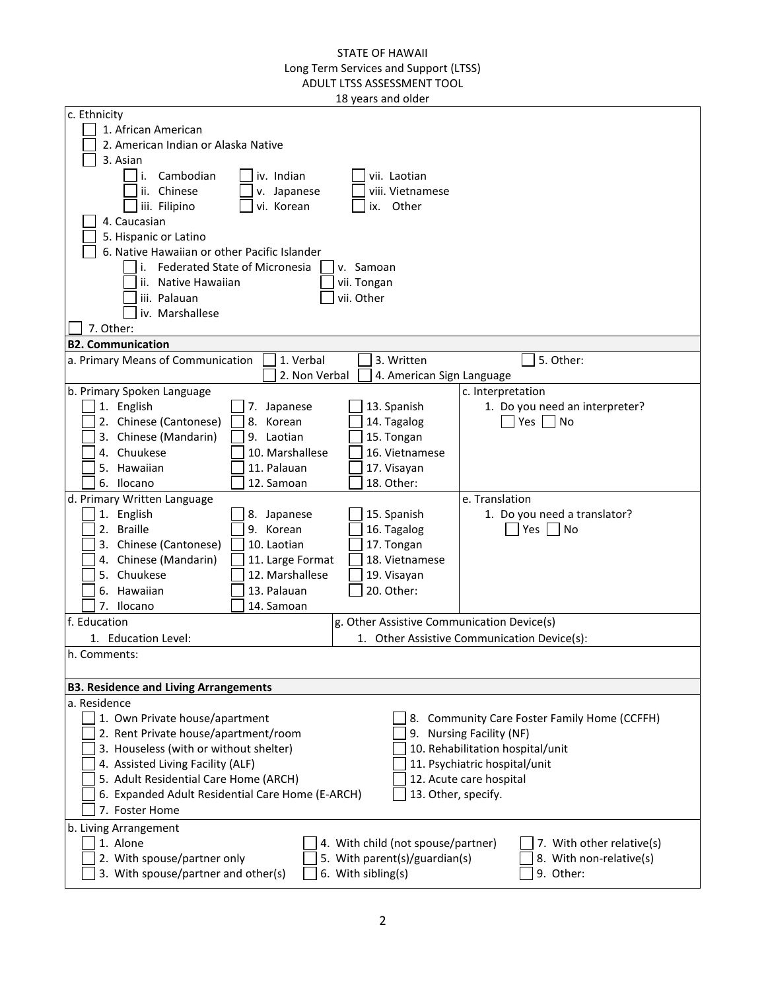| c. Ethnicity                                     |                                            |                                              |
|--------------------------------------------------|--------------------------------------------|----------------------------------------------|
| 1. African American                              |                                            |                                              |
| 2. American Indian or Alaska Native              |                                            |                                              |
|                                                  |                                            |                                              |
| 3. Asian                                         |                                            |                                              |
| Cambodian<br>iv. Indian<br>i.                    | vii. Laotian                               |                                              |
| ii. Chinese<br>v. Japanese                       | viii. Vietnamese                           |                                              |
| iii. Filipino<br>vi. Korean                      | Other<br>ix.                               |                                              |
| 4. Caucasian                                     |                                            |                                              |
| 5. Hispanic or Latino                            |                                            |                                              |
| 6. Native Hawaiian or other Pacific Islander     |                                            |                                              |
| i. Federated State of Micronesia                 | v. Samoan                                  |                                              |
| ii. Native Hawaiian                              | vii. Tongan                                |                                              |
| iii. Palauan                                     | vii. Other                                 |                                              |
| iv. Marshallese                                  |                                            |                                              |
| 7. Other:                                        |                                            |                                              |
|                                                  |                                            |                                              |
| <b>B2. Communication</b>                         |                                            |                                              |
| 1. Verbal<br>a. Primary Means of Communication   | 3. Written                                 | 5. Other:                                    |
| 2. Non Verbal                                    | 4. American Sign Language                  |                                              |
| b. Primary Spoken Language                       |                                            | c. Interpretation                            |
| 1. English<br>7. Japanese                        | 13. Spanish                                | 1. Do you need an interpreter?               |
| 2. Chinese (Cantonese)<br>8. Korean              | 14. Tagalog                                | Yes<br>No                                    |
| 3. Chinese (Mandarin)<br>9. Laotian              | 15. Tongan                                 |                                              |
| 4. Chuukese<br>10. Marshallese                   | 16. Vietnamese                             |                                              |
| 5. Hawaiian<br>11. Palauan                       | 17. Visayan                                |                                              |
| 12. Samoan<br>6. Ilocano                         | 18. Other:                                 |                                              |
|                                                  |                                            |                                              |
| d. Primary Written Language                      |                                            | e. Translation                               |
| 1. English<br>8. Japanese                        | 15. Spanish                                | 1. Do you need a translator?                 |
| 2. Braille<br>9. Korean                          | 16. Tagalog                                | $\Box$ Yes $\Box$ No                         |
| 3. Chinese (Cantonese)<br>10. Laotian            | 17. Tongan                                 |                                              |
| 4. Chinese (Mandarin)<br>11. Large Format        | 18. Vietnamese                             |                                              |
| 5. Chuukese<br>12. Marshallese                   | 19. Visayan                                |                                              |
| 13. Palauan<br>6. Hawaiian                       | 20. Other:                                 |                                              |
| 7. Ilocano<br>14. Samoan                         |                                            |                                              |
| f. Education                                     | g. Other Assistive Communication Device(s) |                                              |
|                                                  |                                            |                                              |
| 1. Education Level:                              |                                            | 1. Other Assistive Communication Device(s):  |
| h. Comments:                                     |                                            |                                              |
|                                                  |                                            |                                              |
| <b>B3. Residence and Living Arrangements</b>     |                                            |                                              |
| a. Residence                                     |                                            |                                              |
| 1. Own Private house/apartment                   |                                            | 8. Community Care Foster Family Home (CCFFH) |
| 2. Rent Private house/apartment/room             |                                            | 9. Nursing Facility (NF)                     |
| 3. Houseless (with or without shelter)           |                                            | 10. Rehabilitation hospital/unit             |
| 4. Assisted Living Facility (ALF)                |                                            | 11. Psychiatric hospital/unit                |
| 5. Adult Residential Care Home (ARCH)            |                                            | 12. Acute care hospital                      |
|                                                  |                                            |                                              |
| 6. Expanded Adult Residential Care Home (E-ARCH) | 13. Other, specify.                        |                                              |
| 7. Foster Home                                   |                                            |                                              |
| b. Living Arrangement                            |                                            |                                              |
| 1. Alone                                         | 4. With child (not spouse/partner)         | 7. With other relative(s)                    |
| 2. With spouse/partner only                      | 5. With parent(s)/guardian(s)              | 8. With non-relative(s)                      |
| 3. With spouse/partner and other(s)              | 6. With sibling(s)                         | 9. Other:                                    |
|                                                  |                                            |                                              |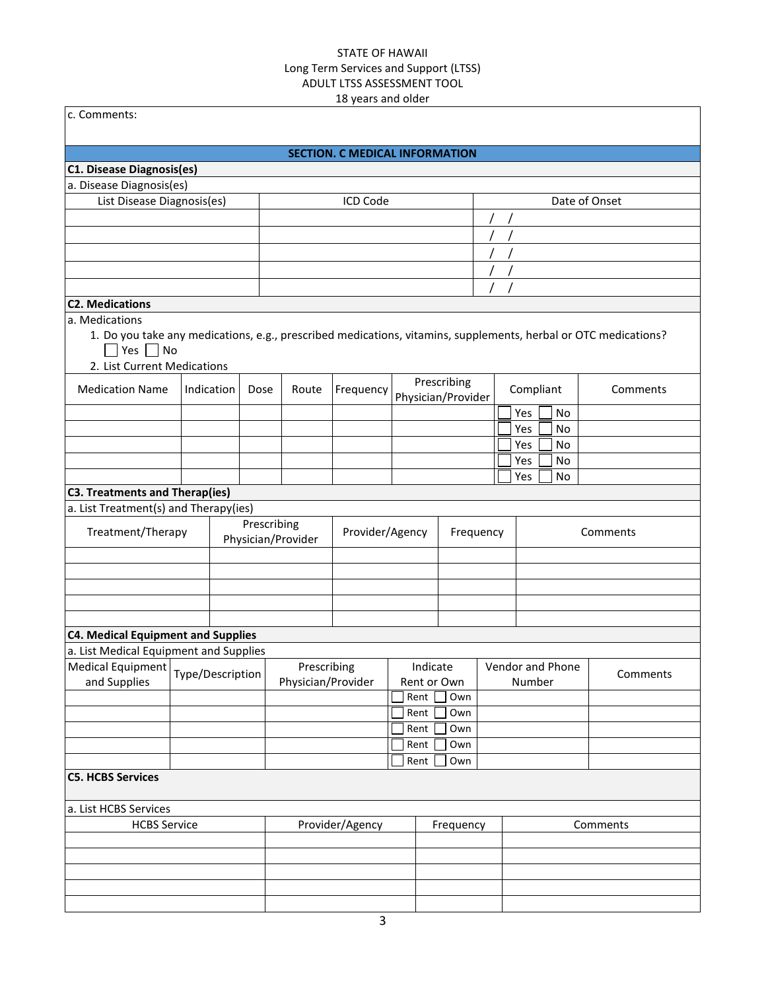|                                                                                                                                                                                          |                  |            |             |                    | 18 years and older                    |          |                                   |  |           |                  |               |  |
|------------------------------------------------------------------------------------------------------------------------------------------------------------------------------------------|------------------|------------|-------------|--------------------|---------------------------------------|----------|-----------------------------------|--|-----------|------------------|---------------|--|
| c. Comments:                                                                                                                                                                             |                  |            |             |                    |                                       |          |                                   |  |           |                  |               |  |
|                                                                                                                                                                                          |                  |            |             |                    |                                       |          |                                   |  |           |                  |               |  |
|                                                                                                                                                                                          |                  |            |             |                    | <b>SECTION. C MEDICAL INFORMATION</b> |          |                                   |  |           |                  |               |  |
| C1. Disease Diagnosis(es)                                                                                                                                                                |                  |            |             |                    |                                       |          |                                   |  |           |                  |               |  |
| a. Disease Diagnosis(es)                                                                                                                                                                 |                  |            |             |                    |                                       |          |                                   |  |           |                  |               |  |
| List Disease Diagnosis(es)                                                                                                                                                               |                  |            |             |                    | ICD Code                              |          |                                   |  |           |                  | Date of Onset |  |
|                                                                                                                                                                                          |                  |            |             |                    |                                       |          |                                   |  |           |                  |               |  |
|                                                                                                                                                                                          |                  |            |             |                    |                                       |          |                                   |  |           |                  |               |  |
|                                                                                                                                                                                          |                  |            |             |                    |                                       |          |                                   |  |           |                  |               |  |
|                                                                                                                                                                                          |                  |            |             |                    |                                       |          |                                   |  |           |                  |               |  |
|                                                                                                                                                                                          |                  |            |             |                    |                                       |          |                                   |  |           |                  |               |  |
| <b>C2. Medications</b>                                                                                                                                                                   |                  |            |             |                    |                                       |          |                                   |  |           |                  |               |  |
| a. Medications<br>1. Do you take any medications, e.g., prescribed medications, vitamins, supplements, herbal or OTC medications?<br>$\Box$ Yes $\Box$ No<br>2. List Current Medications |                  |            |             |                    |                                       |          |                                   |  |           |                  |               |  |
| <b>Medication Name</b>                                                                                                                                                                   |                  | Indication | Dose        | Route              | Frequency                             |          | Prescribing<br>Physician/Provider |  | Compliant |                  | Comments      |  |
|                                                                                                                                                                                          |                  |            |             |                    |                                       |          |                                   |  | Yes       | No               |               |  |
|                                                                                                                                                                                          |                  |            |             |                    |                                       |          |                                   |  | Yes       | No               |               |  |
|                                                                                                                                                                                          |                  |            |             |                    |                                       |          |                                   |  | Yes       | No               |               |  |
|                                                                                                                                                                                          |                  |            |             |                    |                                       |          |                                   |  | Yes       | No               |               |  |
|                                                                                                                                                                                          |                  |            |             |                    |                                       |          |                                   |  | Yes       | No               |               |  |
| <b>C3. Treatments and Therap(ies)</b>                                                                                                                                                    |                  |            |             |                    |                                       |          |                                   |  |           |                  |               |  |
| a. List Treatment(s) and Therapy(ies)                                                                                                                                                    |                  |            |             |                    |                                       |          |                                   |  |           |                  |               |  |
| Treatment/Therapy                                                                                                                                                                        |                  |            | Prescribing | Physician/Provider | Provider/Agency                       |          | Frequency                         |  |           |                  | Comments      |  |
|                                                                                                                                                                                          |                  |            |             |                    |                                       |          |                                   |  |           |                  |               |  |
|                                                                                                                                                                                          |                  |            |             |                    |                                       |          |                                   |  |           |                  |               |  |
|                                                                                                                                                                                          |                  |            |             |                    |                                       |          |                                   |  |           |                  |               |  |
| <b>C4. Medical Equipment and Supplies</b>                                                                                                                                                |                  |            |             |                    |                                       |          |                                   |  |           |                  |               |  |
| a. List Medical Equipment and Supplies                                                                                                                                                   |                  |            |             |                    |                                       |          |                                   |  |           |                  |               |  |
| <b>Medical Equipment</b>                                                                                                                                                                 | Type/Description |            |             | Prescribing        |                                       | Indicate |                                   |  |           | Vendor and Phone | Comments      |  |
| and Supplies                                                                                                                                                                             |                  |            |             |                    | Physician/Provider                    |          | Rent or Own                       |  | Number    |                  |               |  |
|                                                                                                                                                                                          |                  |            |             |                    |                                       | Rent     | Own                               |  |           |                  |               |  |
|                                                                                                                                                                                          |                  |            |             |                    |                                       | Rent     | Own                               |  |           |                  |               |  |
|                                                                                                                                                                                          |                  |            |             |                    |                                       | Rent     | Own                               |  |           |                  |               |  |
|                                                                                                                                                                                          |                  |            |             |                    |                                       | Rent     | Own                               |  |           |                  |               |  |
| <b>C5. HCBS Services</b>                                                                                                                                                                 |                  |            |             |                    |                                       | Rent     | Own                               |  |           |                  |               |  |
|                                                                                                                                                                                          |                  |            |             |                    |                                       |          |                                   |  |           |                  |               |  |
| a. List HCBS Services                                                                                                                                                                    |                  |            |             |                    |                                       |          |                                   |  |           |                  |               |  |
| <b>HCBS Service</b>                                                                                                                                                                      |                  |            |             |                    | Provider/Agency                       |          | Frequency                         |  |           |                  | Comments      |  |
|                                                                                                                                                                                          |                  |            |             |                    |                                       |          |                                   |  |           |                  |               |  |
|                                                                                                                                                                                          |                  |            |             |                    |                                       |          |                                   |  |           |                  |               |  |
|                                                                                                                                                                                          |                  |            |             |                    |                                       |          |                                   |  |           |                  |               |  |
|                                                                                                                                                                                          |                  |            |             |                    |                                       |          |                                   |  |           |                  |               |  |
|                                                                                                                                                                                          |                  |            |             |                    |                                       |          |                                   |  |           |                  |               |  |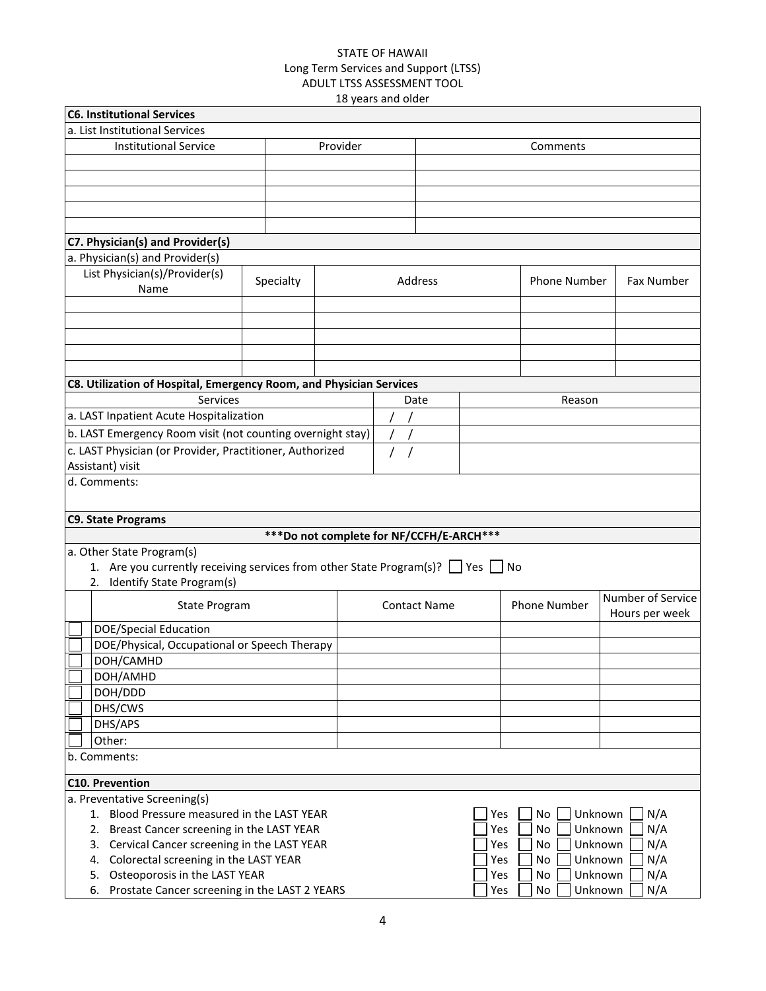|                                                                                        |           | το γεαι ο απα σιαςι                       |                     |     |                     |                           |  |
|----------------------------------------------------------------------------------------|-----------|-------------------------------------------|---------------------|-----|---------------------|---------------------------|--|
| <b>C6. Institutional Services</b>                                                      |           |                                           |                     |     |                     |                           |  |
| a. List Institutional Services                                                         |           |                                           |                     |     |                     |                           |  |
| <b>Institutional Service</b>                                                           |           | Provider                                  |                     |     | Comments            |                           |  |
|                                                                                        |           |                                           |                     |     |                     |                           |  |
|                                                                                        |           |                                           |                     |     |                     |                           |  |
|                                                                                        |           |                                           |                     |     |                     |                           |  |
|                                                                                        |           |                                           |                     |     |                     |                           |  |
|                                                                                        |           |                                           |                     |     |                     |                           |  |
| C7. Physician(s) and Provider(s)                                                       |           |                                           |                     |     |                     |                           |  |
| a. Physician(s) and Provider(s)                                                        |           |                                           |                     |     |                     |                           |  |
| List Physician(s)/Provider(s)                                                          |           |                                           |                     |     |                     |                           |  |
| Name                                                                                   | Specialty |                                           | Address             |     | <b>Phone Number</b> | Fax Number                |  |
|                                                                                        |           |                                           |                     |     |                     |                           |  |
|                                                                                        |           |                                           |                     |     |                     |                           |  |
|                                                                                        |           |                                           |                     |     |                     |                           |  |
|                                                                                        |           |                                           |                     |     |                     |                           |  |
|                                                                                        |           |                                           |                     |     |                     |                           |  |
| C8. Utilization of Hospital, Emergency Room, and Physician Services                    |           |                                           |                     |     |                     |                           |  |
| Services                                                                               |           |                                           | Date                |     | Reason              |                           |  |
| a. LAST Inpatient Acute Hospitalization                                                |           |                                           |                     |     |                     |                           |  |
| b. LAST Emergency Room visit (not counting overnight stay)                             |           |                                           |                     |     |                     |                           |  |
| c. LAST Physician (or Provider, Practitioner, Authorized                               |           |                                           |                     |     |                     |                           |  |
| Assistant) visit                                                                       |           |                                           |                     |     |                     |                           |  |
| d. Comments:                                                                           |           |                                           |                     |     |                     |                           |  |
|                                                                                        |           |                                           |                     |     |                     |                           |  |
|                                                                                        |           |                                           |                     |     |                     |                           |  |
| <b>C9. State Programs</b>                                                              |           |                                           |                     |     |                     |                           |  |
|                                                                                        |           | *** Do not complete for NF/CCFH/E-ARCH*** |                     |     |                     |                           |  |
| a. Other State Program(s)                                                              |           |                                           |                     |     |                     |                           |  |
| 1. Are you currently receiving services from other State Program(s)? $\Box$ Yes $\Box$ |           |                                           |                     |     | No                  |                           |  |
| 2. Identify State Program(s)                                                           |           |                                           |                     |     |                     |                           |  |
| <b>State Program</b>                                                                   |           |                                           | <b>Contact Name</b> |     | <b>Phone Number</b> | Number of Service         |  |
|                                                                                        |           |                                           |                     |     |                     | Hours per week            |  |
| <b>DOE/Special Education</b>                                                           |           |                                           |                     |     |                     |                           |  |
| DOE/Physical, Occupational or Speech Therapy                                           |           |                                           |                     |     |                     |                           |  |
| DOH/CAMHD                                                                              |           |                                           |                     |     |                     |                           |  |
| DOH/AMHD                                                                               |           |                                           |                     |     |                     |                           |  |
| DOH/DDD                                                                                |           |                                           |                     |     |                     |                           |  |
| DHS/CWS                                                                                |           |                                           |                     |     |                     |                           |  |
| DHS/APS                                                                                |           |                                           |                     |     |                     |                           |  |
| Other:                                                                                 |           |                                           |                     |     |                     |                           |  |
| b. Comments:                                                                           |           |                                           |                     |     |                     |                           |  |
|                                                                                        |           |                                           |                     |     |                     |                           |  |
| <b>C10. Prevention</b>                                                                 |           |                                           |                     |     |                     |                           |  |
| a. Preventative Screening(s)                                                           |           |                                           |                     |     |                     |                           |  |
| 1. Blood Pressure measured in the LAST YEAR                                            |           |                                           |                     |     | No<br>Yes           | Unknown<br>N/A            |  |
| 2. Breast Cancer screening in the LAST YEAR                                            |           |                                           |                     | Yes | No                  | N/A<br>Unknown            |  |
| Cervical Cancer screening in the LAST YEAR<br>3.                                       |           |                                           |                     | Yes | No                  | Unknown<br>N/A            |  |
| Colorectal screening in the LAST YEAR<br>4.                                            |           |                                           |                     |     | No<br>Yes           | Unknown<br>N/A            |  |
| Osteoporosis in the LAST YEAR<br>5.                                                    |           |                                           |                     |     | Yes<br>No           | Unknown<br>N/A<br>Unknown |  |
| Prostate Cancer screening in the LAST 2 YEARS<br>6.                                    |           |                                           |                     |     | Yes<br>No           | N/A                       |  |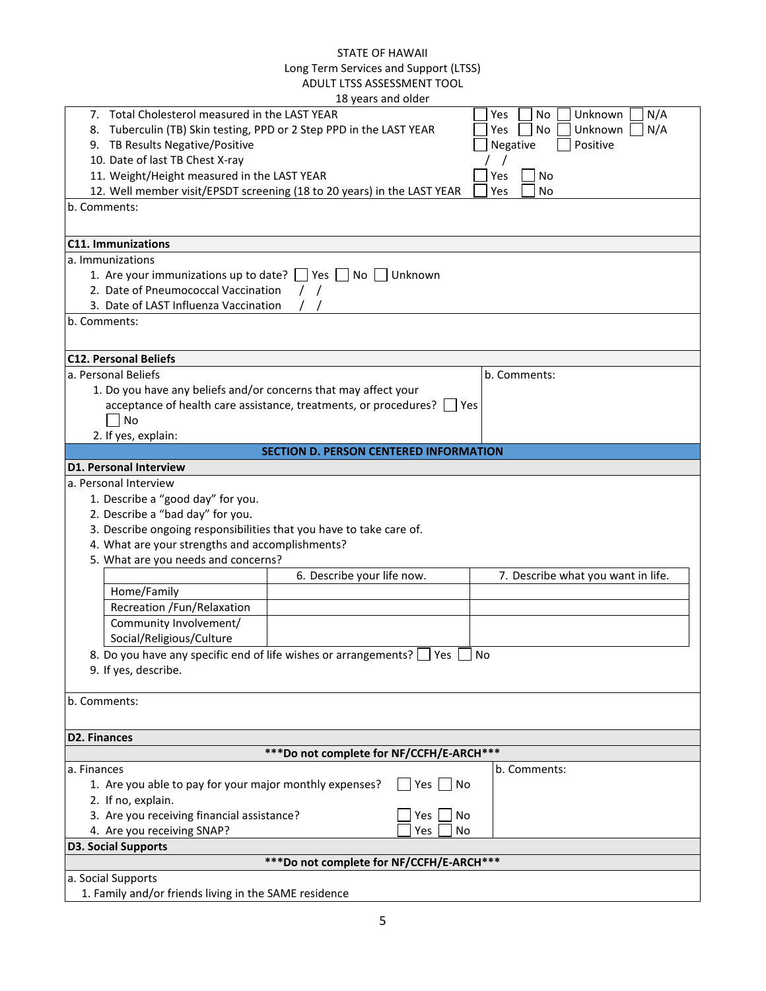|                                                                     | 10 years and Older                                                      |                                    |
|---------------------------------------------------------------------|-------------------------------------------------------------------------|------------------------------------|
| 7. Total Cholesterol measured in the LAST YEAR                      |                                                                         | N/A<br>Yes<br>No<br>Unknown        |
| 8. Tuberculin (TB) Skin testing, PPD or 2 Step PPD in the LAST YEAR |                                                                         | No<br>Unknown<br>N/A<br>Yes        |
| 9. TB Results Negative/Positive                                     |                                                                         | Positive<br>Negative               |
| 10. Date of last TB Chest X-ray                                     |                                                                         |                                    |
| 11. Weight/Height measured in the LAST YEAR                         |                                                                         | No<br>Yes                          |
|                                                                     | 12. Well member visit/EPSDT screening (18 to 20 years) in the LAST YEAR | <b>No</b><br>Yes                   |
| b. Comments:                                                        |                                                                         |                                    |
|                                                                     |                                                                         |                                    |
| <b>C11. Immunizations</b>                                           |                                                                         |                                    |
| a. Immunizations                                                    |                                                                         |                                    |
| 1. Are your immunizations up to date?                               | Yes <br>  No     Unknown                                                |                                    |
| 2. Date of Pneumococcal Vaccination                                 |                                                                         |                                    |
| 3. Date of LAST Influenza Vaccination                               |                                                                         |                                    |
| b. Comments:                                                        |                                                                         |                                    |
|                                                                     |                                                                         |                                    |
| <b>C12. Personal Beliefs</b>                                        |                                                                         |                                    |
| a. Personal Beliefs                                                 |                                                                         | b. Comments:                       |
| 1. Do you have any beliefs and/or concerns that may affect your     |                                                                         |                                    |
|                                                                     | acceptance of health care assistance, treatments, or procedures?        | Yes                                |
| No                                                                  |                                                                         |                                    |
| 2. If yes, explain:                                                 |                                                                         |                                    |
|                                                                     | <b>SECTION D. PERSON CENTERED INFORMATION</b>                           |                                    |
| <b>D1. Personal Interview</b>                                       |                                                                         |                                    |
| a. Personal Interview                                               |                                                                         |                                    |
| 1. Describe a "good day" for you.                                   |                                                                         |                                    |
| 2. Describe a "bad day" for you.                                    |                                                                         |                                    |
| 3. Describe ongoing responsibilities that you have to take care of. |                                                                         |                                    |
| 4. What are your strengths and accomplishments?                     |                                                                         |                                    |
| 5. What are you needs and concerns?                                 |                                                                         |                                    |
|                                                                     | 6. Describe your life now.                                              | 7. Describe what you want in life. |
| Home/Family                                                         |                                                                         |                                    |
| Recreation /Fun/Relaxation                                          |                                                                         |                                    |
| Community Involvement/                                              |                                                                         |                                    |
| Social/Religious/Culture                                            |                                                                         |                                    |
| 8. Do you have any specific end of life wishes or arrangements?     | Yes                                                                     | No                                 |
| 9. If yes, describe.                                                |                                                                         |                                    |
|                                                                     |                                                                         |                                    |
| b. Comments:                                                        |                                                                         |                                    |
|                                                                     |                                                                         |                                    |
| <b>D2. Finances</b>                                                 |                                                                         |                                    |
|                                                                     | ***Do not complete for NF/CCFH/E-ARCH***                                |                                    |
| a. Finances                                                         |                                                                         | b. Comments:                       |
| 1. Are you able to pay for your major monthly expenses?             | Yes<br>  No                                                             |                                    |
| 2. If no, explain.                                                  |                                                                         |                                    |
| 3. Are you receiving financial assistance?                          | No<br>Yes                                                               |                                    |
| 4. Are you receiving SNAP?                                          | No<br>Yes                                                               |                                    |
| <b>D3. Social Supports</b>                                          | ***Do not complete for NF/CCFH/E-ARCH***                                |                                    |
| a. Social Supports                                                  |                                                                         |                                    |
| 1. Family and/or friends living in the SAME residence               |                                                                         |                                    |
|                                                                     |                                                                         |                                    |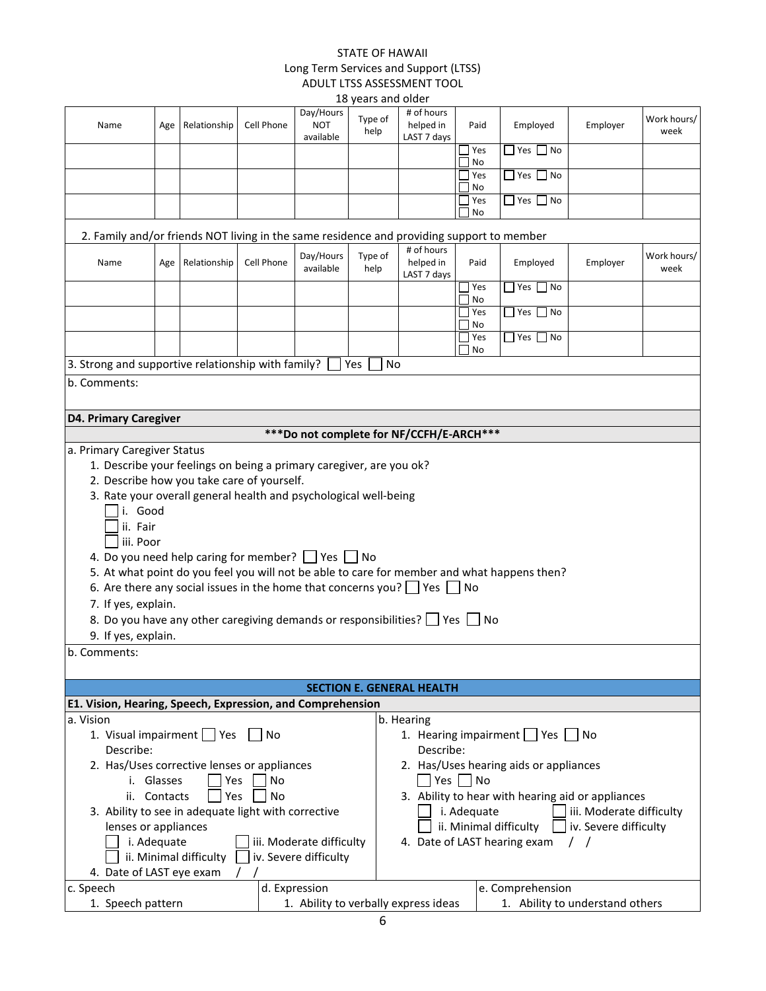|                                                                                                          |                                                                                                                   |                        |                   |                                      | 18 years and older |                                        |             |     |                                                                                             |                          |                     |
|----------------------------------------------------------------------------------------------------------|-------------------------------------------------------------------------------------------------------------------|------------------------|-------------------|--------------------------------------|--------------------|----------------------------------------|-------------|-----|---------------------------------------------------------------------------------------------|--------------------------|---------------------|
| Name                                                                                                     | Age                                                                                                               | Relationship           | Cell Phone        | Day/Hours<br><b>NOT</b><br>available | Type of<br>help    | # of hours<br>helped in<br>LAST 7 days | Paid        |     | Employed                                                                                    | Employer                 | Work hours/<br>week |
|                                                                                                          |                                                                                                                   |                        |                   |                                      |                    |                                        | Yes         |     | $\Box$ Yes $\Box$ No                                                                        |                          |                     |
|                                                                                                          |                                                                                                                   |                        |                   |                                      |                    |                                        | No          | Yes | $\sqsupset$ Yes $\sqcap$<br>No.                                                             |                          |                     |
|                                                                                                          |                                                                                                                   |                        |                   |                                      |                    |                                        | No          |     |                                                                                             |                          |                     |
|                                                                                                          |                                                                                                                   |                        |                   |                                      |                    |                                        | Yes<br>No   |     | $\Box$ Yes $\Box$ No                                                                        |                          |                     |
| 2. Family and/or friends NOT living in the same residence and providing support to member                |                                                                                                                   |                        |                   |                                      |                    |                                        |             |     |                                                                                             |                          |                     |
|                                                                                                          |                                                                                                                   |                        |                   | Day/Hours                            | Type of            | # of hours                             |             |     |                                                                                             |                          | Work hours/         |
| Name                                                                                                     | Age                                                                                                               | Relationship           | Cell Phone        | available                            | help               | helped in<br>LAST 7 days               | Paid        |     | Employed                                                                                    | Employer                 | week                |
|                                                                                                          |                                                                                                                   |                        |                   |                                      |                    |                                        | No          | Yes | $\Box$ Yes $\Box$ No                                                                        |                          |                     |
|                                                                                                          |                                                                                                                   |                        |                   |                                      |                    |                                        |             | Yes | $\Box$ Yes [<br>$\n  No\n$                                                                  |                          |                     |
|                                                                                                          |                                                                                                                   |                        |                   |                                      |                    |                                        | No<br>Yes   |     | $\Box$ Yes $\Box$ No                                                                        |                          |                     |
|                                                                                                          |                                                                                                                   |                        |                   |                                      |                    |                                        | No          |     |                                                                                             |                          |                     |
| 3. Strong and supportive relationship with family?                                                       |                                                                                                                   |                        |                   |                                      | No<br>Yes          |                                        |             |     |                                                                                             |                          |                     |
| b. Comments:                                                                                             |                                                                                                                   |                        |                   |                                      |                    |                                        |             |     |                                                                                             |                          |                     |
|                                                                                                          | <b>D4. Primary Caregiver</b>                                                                                      |                        |                   |                                      |                    |                                        |             |     |                                                                                             |                          |                     |
|                                                                                                          | ***Do not complete for NF/CCFH/E-ARCH***                                                                          |                        |                   |                                      |                    |                                        |             |     |                                                                                             |                          |                     |
| a. Primary Caregiver Status                                                                              |                                                                                                                   |                        |                   |                                      |                    |                                        |             |     |                                                                                             |                          |                     |
|                                                                                                          | 1. Describe your feelings on being a primary caregiver, are you ok?<br>2. Describe how you take care of yourself. |                        |                   |                                      |                    |                                        |             |     |                                                                                             |                          |                     |
|                                                                                                          |                                                                                                                   |                        |                   |                                      |                    |                                        |             |     |                                                                                             |                          |                     |
| 3. Rate your overall general health and psychological well-being                                         |                                                                                                                   |                        |                   |                                      |                    |                                        |             |     |                                                                                             |                          |                     |
| i. Good                                                                                                  |                                                                                                                   |                        |                   |                                      |                    |                                        |             |     |                                                                                             |                          |                     |
| ii. Fair                                                                                                 |                                                                                                                   |                        |                   |                                      |                    |                                        |             |     |                                                                                             |                          |                     |
| iii. Poor                                                                                                |                                                                                                                   |                        |                   |                                      |                    |                                        |             |     |                                                                                             |                          |                     |
| 4. Do you need help caring for member? Ses No                                                            |                                                                                                                   |                        |                   |                                      |                    |                                        |             |     |                                                                                             |                          |                     |
|                                                                                                          |                                                                                                                   |                        |                   |                                      |                    |                                        |             |     | 5. At what point do you feel you will not be able to care for member and what happens then? |                          |                     |
| 6. Are there any social issues in the home that concerns you? $\Box$ Yes $\Box$ No                       |                                                                                                                   |                        |                   |                                      |                    |                                        |             |     |                                                                                             |                          |                     |
| 7. If yes, explain.                                                                                      |                                                                                                                   |                        |                   |                                      |                    |                                        |             |     |                                                                                             |                          |                     |
| 8. Do you have any other caregiving demands or responsibilities? Yes No                                  |                                                                                                                   |                        |                   |                                      |                    |                                        |             |     |                                                                                             |                          |                     |
| 9. If yes, explain.                                                                                      |                                                                                                                   |                        |                   |                                      |                    |                                        |             |     |                                                                                             |                          |                     |
| b. Comments:                                                                                             |                                                                                                                   |                        |                   |                                      |                    |                                        |             |     |                                                                                             |                          |                     |
|                                                                                                          |                                                                                                                   |                        |                   |                                      |                    | <b>SECTION E. GENERAL HEALTH</b>       |             |     |                                                                                             |                          |                     |
| E1. Vision, Hearing, Speech, Expression, and Comprehension                                               |                                                                                                                   |                        |                   |                                      |                    |                                        |             |     |                                                                                             |                          |                     |
| a. Vision                                                                                                |                                                                                                                   |                        |                   |                                      |                    | b. Hearing                             |             |     |                                                                                             |                          |                     |
| 1. Visual impairment   Yes                                                                               |                                                                                                                   |                        | l IN <sub>O</sub> |                                      |                    |                                        |             |     | 1. Hearing impairment   Yes   No                                                            |                          |                     |
| Describe:<br>Describe:                                                                                   |                                                                                                                   |                        |                   |                                      |                    |                                        |             |     |                                                                                             |                          |                     |
|                                                                                                          | 2. Has/Uses corrective lenses or appliances<br>2. Has/Uses hearing aids or appliances                             |                        |                   |                                      |                    |                                        |             |     |                                                                                             |                          |                     |
| Yes   No<br>i. Glasses<br>Yes<br>No<br>3. Ability to hear with hearing aid or appliances<br>ii. Contacts |                                                                                                                   |                        |                   |                                      |                    |                                        |             |     |                                                                                             |                          |                     |
|                                                                                                          |                                                                                                                   | <b>Yes</b>             | No                |                                      |                    |                                        |             |     |                                                                                             |                          |                     |
| 3. Ability to see in adequate light with corrective                                                      |                                                                                                                   |                        |                   |                                      |                    |                                        | i. Adequate |     |                                                                                             | iii. Moderate difficulty |                     |
| lenses or appliances                                                                                     |                                                                                                                   |                        |                   |                                      |                    |                                        |             |     | ii. Minimal difficulty                                                                      | iv. Severe difficulty    |                     |
|                                                                                                          | i. Adequate                                                                                                       | ii. Minimal difficulty |                   | iii. Moderate difficulty             |                    |                                        |             |     | 4. Date of LAST hearing exam                                                                | $\prime$ $\prime$        |                     |
| 4. Date of LAST eye exam                                                                                 |                                                                                                                   |                        |                   | iv. Severe difficulty                |                    |                                        |             |     |                                                                                             |                          |                     |
| c. Speech                                                                                                |                                                                                                                   |                        |                   | d. Expression                        |                    |                                        |             |     | e. Comprehension                                                                            |                          |                     |
| 1. Speech pattern                                                                                        |                                                                                                                   |                        |                   |                                      |                    | 1. Ability to verbally express ideas   |             |     | 1. Ability to understand others                                                             |                          |                     |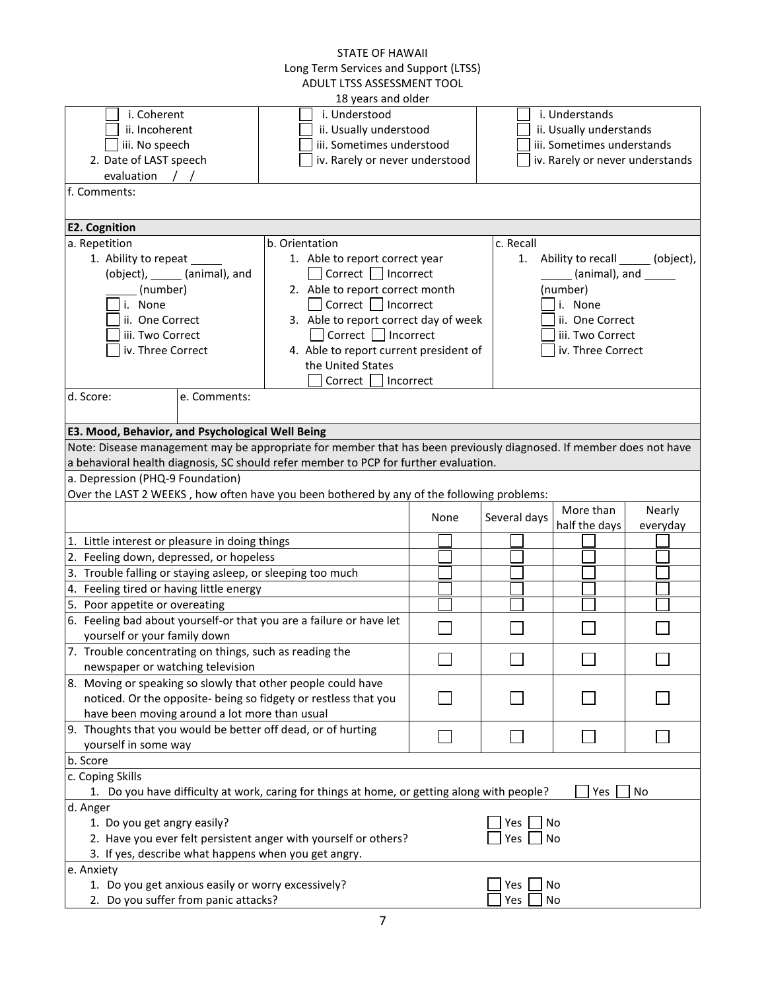|                                                            |                                | <b>STATE OF HAWAII</b><br>Long Term Services and Support (LTSS)                                                    |      |              |                                 |          |
|------------------------------------------------------------|--------------------------------|--------------------------------------------------------------------------------------------------------------------|------|--------------|---------------------------------|----------|
|                                                            |                                | ADULT LTSS ASSESSMENT TOOL                                                                                         |      |              |                                 |          |
|                                                            |                                | 18 years and older                                                                                                 |      |              |                                 |          |
| i. Coherent                                                |                                | i. Understood                                                                                                      |      |              | i. Understands                  |          |
| ii. Incoherent                                             |                                | ii. Usually understood                                                                                             |      |              | ii. Usually understands         |          |
| iii. No speech                                             |                                | iii. Sometimes understood                                                                                          |      |              | iii. Sometimes understands      |          |
| 2. Date of LAST speech                                     |                                | iv. Rarely or never understood                                                                                     |      |              | iv. Rarely or never understands |          |
| evaluation                                                 | $\left  \right $               |                                                                                                                    |      |              |                                 |          |
| f. Comments:                                               |                                |                                                                                                                    |      |              |                                 |          |
|                                                            |                                |                                                                                                                    |      |              |                                 |          |
| <b>E2. Cognition</b>                                       |                                |                                                                                                                    |      |              |                                 |          |
| a. Repetition                                              |                                | b. Orientation                                                                                                     |      | c. Recall    |                                 |          |
| 1. Ability to repeat                                       |                                | 1. Able to report correct year                                                                                     |      | 1.           | Ability to recall (object),     |          |
|                                                            | (object), ______ (animal), and | Correct     Incorrect                                                                                              |      |              |                                 |          |
| (number)                                                   |                                | 2. Able to report correct month                                                                                    |      |              | (number)                        |          |
| i. None                                                    |                                | Correct $\Box$ Incorrect                                                                                           |      |              | i. None                         |          |
| ii. One Correct                                            |                                | 3. Able to report correct day of week                                                                              |      |              | ii. One Correct                 |          |
| iii. Two Correct                                           |                                | Correct $\Box$ Incorrect                                                                                           |      |              | iii. Two Correct                |          |
| iv. Three Correct                                          |                                | 4. Able to report current president of                                                                             |      |              | iv. Three Correct               |          |
|                                                            |                                | the United States                                                                                                  |      |              |                                 |          |
|                                                            |                                | Correct<br>Incorrect                                                                                               |      |              |                                 |          |
| d. Score:                                                  | e. Comments:                   |                                                                                                                    |      |              |                                 |          |
|                                                            |                                |                                                                                                                    |      |              |                                 |          |
| E3. Mood, Behavior, and Psychological Well Being           |                                |                                                                                                                    |      |              |                                 |          |
|                                                            |                                | Note: Disease management may be appropriate for member that has been previously diagnosed. If member does not have |      |              |                                 |          |
|                                                            |                                | a behavioral health diagnosis, SC should refer member to PCP for further evaluation.                               |      |              |                                 |          |
| a. Depression (PHQ-9 Foundation)                           |                                |                                                                                                                    |      |              |                                 |          |
|                                                            |                                | Over the LAST 2 WEEKS, how often have you been bothered by any of the following problems:                          |      |              |                                 |          |
|                                                            |                                |                                                                                                                    | None | Several days | More than                       | Nearly   |
|                                                            |                                |                                                                                                                    |      |              | half the days                   | everyday |
| 1. Little interest or pleasure in doing things             |                                |                                                                                                                    |      |              |                                 |          |
| 2. Feeling down, depressed, or hopeless                    |                                |                                                                                                                    |      |              |                                 |          |
| 3. Trouble falling or staying asleep, or sleeping too much |                                |                                                                                                                    |      |              |                                 |          |
| 4. Feeling tired or having little energy                   |                                |                                                                                                                    |      |              |                                 |          |
| 5. Poor appetite or overeating                             |                                |                                                                                                                    |      |              |                                 |          |
|                                                            |                                | 6. Feeling bad about yourself-or that you are a failure or have let                                                |      |              |                                 |          |
| yourself or your family down                               |                                |                                                                                                                    |      |              |                                 |          |
| 7. Trouble concentrating on things, such as reading the    |                                |                                                                                                                    |      |              |                                 |          |
| newspaper or watching television                           |                                |                                                                                                                    |      |              |                                 |          |
|                                                            |                                | 8. Moving or speaking so slowly that other people could have                                                       |      |              |                                 |          |
|                                                            |                                | noticed. Or the opposite- being so fidgety or restless that you                                                    |      |              |                                 |          |
| have been moving around a lot more than usual              |                                |                                                                                                                    |      |              |                                 |          |
|                                                            |                                | 9. Thoughts that you would be better off dead, or of hurting                                                       |      |              |                                 |          |
| yourself in some way<br>b. Score                           |                                |                                                                                                                    |      |              |                                 |          |
| c. Coping Skills                                           |                                |                                                                                                                    |      |              |                                 |          |
|                                                            |                                | 1. Do you have difficulty at work, caring for things at home, or getting along with people?                        |      |              | Yes                             | No       |
| d. Anger                                                   |                                |                                                                                                                    |      |              |                                 |          |
| 1. Do you get angry easily?                                |                                |                                                                                                                    |      | Yes          | No                              |          |
|                                                            |                                | 2. Have you ever felt persistent anger with yourself or others?                                                    |      | Yes          | No                              |          |
|                                                            |                                | 3. If yes, describe what happens when you get angry.                                                               |      |              |                                 |          |
| e. Anxiety                                                 |                                |                                                                                                                    |      |              |                                 |          |
| 1. Do you get anxious easily or worry excessively?         |                                |                                                                                                                    |      | Yes          | No                              |          |
| 2. Do you suffer from panic attacks?                       |                                |                                                                                                                    |      | Yes          | No                              |          |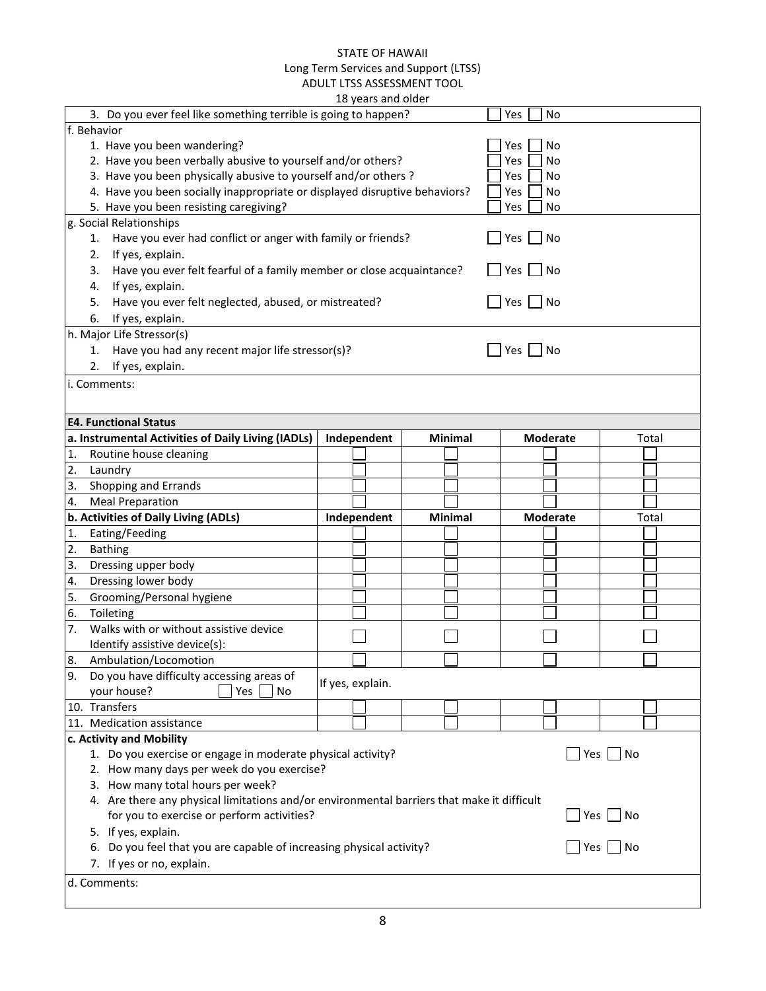|                                                                                            |                                            | TO ACQID QUID OINCI |                |                 |               |  |  |  |
|--------------------------------------------------------------------------------------------|--------------------------------------------|---------------------|----------------|-----------------|---------------|--|--|--|
| 3. Do you ever feel like something terrible is going to happen?                            |                                            |                     |                | Yes<br>No       |               |  |  |  |
| f. Behavior                                                                                |                                            |                     |                |                 |               |  |  |  |
| 1. Have you been wandering?                                                                |                                            |                     |                | No<br>Yes       |               |  |  |  |
| 2. Have you been verbally abusive to yourself and/or others?<br>Yes<br><b>No</b>           |                                            |                     |                |                 |               |  |  |  |
| 3. Have you been physically abusive to yourself and/or others ?                            |                                            |                     |                | Yes<br>No       |               |  |  |  |
| 4. Have you been socially inappropriate or displayed disruptive behaviors?                 |                                            |                     |                | Yes<br>No       |               |  |  |  |
| 5. Have you been resisting caregiving?                                                     |                                            |                     |                | Yes<br>No       |               |  |  |  |
| g. Social Relationships                                                                    |                                            |                     |                |                 |               |  |  |  |
| Have you ever had conflict or anger with family or friends?<br>1.                          |                                            |                     |                | Yes<br>No       |               |  |  |  |
| If yes, explain.<br>2.                                                                     |                                            |                     |                |                 |               |  |  |  |
| Have you ever felt fearful of a family member or close acquaintance?<br>3.                 |                                            |                     |                | Yes<br>No       |               |  |  |  |
| If yes, explain.<br>4.                                                                     |                                            |                     |                |                 |               |  |  |  |
| Have you ever felt neglected, abused, or mistreated?<br>5.                                 |                                            |                     |                | Yes $\Box$ No   |               |  |  |  |
| If yes, explain.<br>6.                                                                     |                                            |                     |                |                 |               |  |  |  |
| h. Major Life Stressor(s)                                                                  |                                            |                     |                |                 |               |  |  |  |
| Have you had any recent major life stressor(s)?<br>1.                                      |                                            |                     |                | $Yes \cup No$   |               |  |  |  |
| If yes, explain.<br>2.                                                                     |                                            |                     |                |                 |               |  |  |  |
| i. Comments:                                                                               |                                            |                     |                |                 |               |  |  |  |
|                                                                                            |                                            |                     |                |                 |               |  |  |  |
|                                                                                            |                                            |                     |                |                 |               |  |  |  |
| <b>E4. Functional Status</b>                                                               |                                            |                     |                |                 |               |  |  |  |
| a. Instrumental Activities of Daily Living (IADLs)                                         |                                            | Independent         | <b>Minimal</b> | <b>Moderate</b> | Total         |  |  |  |
| 1.<br>Routine house cleaning                                                               |                                            |                     |                |                 |               |  |  |  |
| 2.<br>Laundry                                                                              |                                            |                     |                |                 |               |  |  |  |
| 3.<br>Shopping and Errands                                                                 |                                            |                     |                |                 |               |  |  |  |
| 4.<br><b>Meal Preparation</b>                                                              |                                            |                     |                |                 |               |  |  |  |
| b. Activities of Daily Living (ADLs)                                                       |                                            | Independent         | <b>Minimal</b> | <b>Moderate</b> | Total         |  |  |  |
| Eating/Feeding<br>1.                                                                       |                                            |                     |                |                 |               |  |  |  |
| 2.<br><b>Bathing</b>                                                                       |                                            |                     |                |                 |               |  |  |  |
| 3.<br>Dressing upper body                                                                  |                                            |                     |                |                 |               |  |  |  |
| Dressing lower body<br>4.                                                                  |                                            |                     |                |                 |               |  |  |  |
| 5.<br>Grooming/Personal hygiene                                                            |                                            |                     |                |                 |               |  |  |  |
| 6.<br>Toileting                                                                            |                                            |                     |                |                 |               |  |  |  |
| Walks with or without assistive device<br>7.                                               |                                            |                     |                |                 |               |  |  |  |
| Identify assistive device(s):                                                              |                                            |                     |                |                 |               |  |  |  |
| 8.<br>Ambulation/Locomotion                                                                |                                            |                     |                |                 |               |  |  |  |
| Do you have difficulty accessing areas of<br>9.                                            | If yes, explain.                           |                     |                |                 |               |  |  |  |
| Yes<br>your house?<br>No                                                                   |                                            |                     |                |                 |               |  |  |  |
| 10. Transfers                                                                              |                                            |                     |                |                 |               |  |  |  |
| 11. Medication assistance                                                                  |                                            |                     |                |                 |               |  |  |  |
| c. Activity and Mobility                                                                   |                                            |                     |                |                 |               |  |  |  |
| ∣No<br>1. Do you exercise or engage in moderate physical activity?<br>Yes                  |                                            |                     |                |                 |               |  |  |  |
|                                                                                            | 2. How many days per week do you exercise? |                     |                |                 |               |  |  |  |
| 3. How many total hours per week?                                                          |                                            |                     |                |                 |               |  |  |  |
| 4. Are there any physical limitations and/or environmental barriers that make it difficult |                                            |                     |                |                 |               |  |  |  |
| for you to exercise or perform activities?<br>Yes     No                                   |                                            |                     |                |                 |               |  |  |  |
| 5. If yes, explain.                                                                        |                                            |                     |                |                 |               |  |  |  |
|                                                                                            |                                            |                     |                |                 |               |  |  |  |
| 6. Do you feel that you are capable of increasing physical activity?                       |                                            |                     |                |                 | Yes $\Box$ No |  |  |  |
| 7. If yes or no, explain.                                                                  |                                            |                     |                |                 |               |  |  |  |
| d. Comments:                                                                               |                                            |                     |                |                 |               |  |  |  |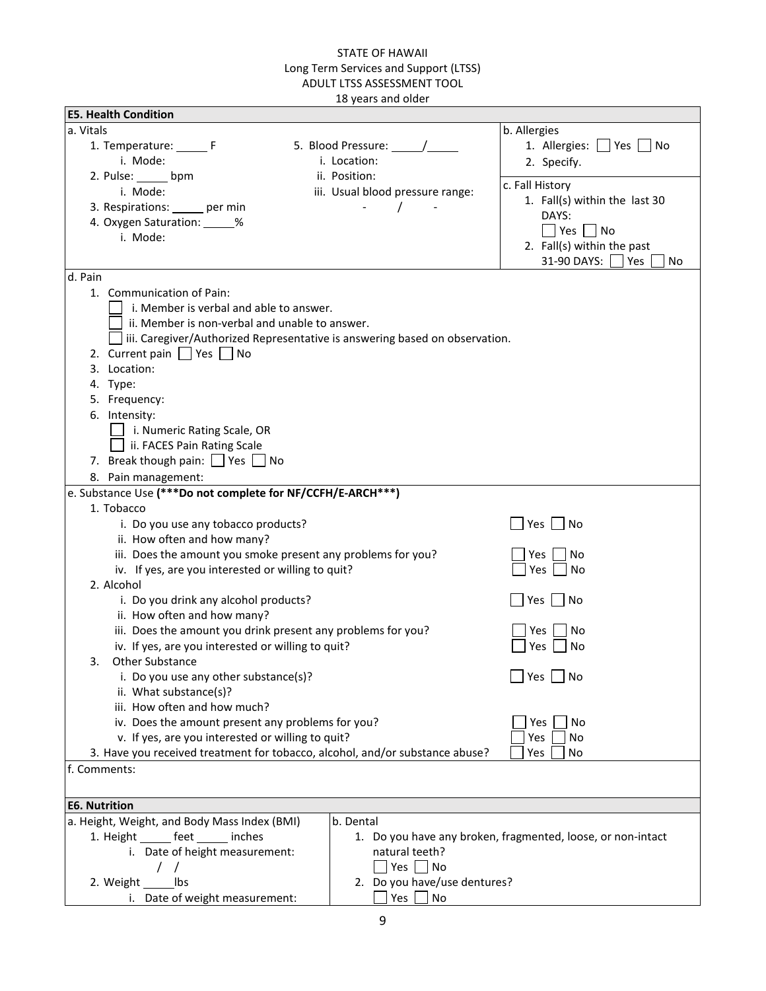| <b>E5. Health Condition</b>                                                        |                                              |                                                             |
|------------------------------------------------------------------------------------|----------------------------------------------|-------------------------------------------------------------|
| a. Vitals                                                                          |                                              | b. Allergies                                                |
| 1. Temperature: _______ F                                                          | 5. Blood Pressure: /                         | 1. Allergies: See See See                                   |
| i. Mode:                                                                           | i. Location:                                 | 2. Specify.                                                 |
| 2. Pulse: ______ bpm                                                               | ii. Position:                                |                                                             |
| i. Mode:                                                                           | iii. Usual blood pressure range:             | c. Fall History                                             |
| 3. Respirations: _____ per min                                                     |                                              | 1. Fall(s) within the last 30                               |
| 4. Oxygen Saturation: _____%                                                       |                                              | DAYS:                                                       |
| i. Mode:                                                                           |                                              | $\blacksquare$ Yes $\blacksquare$ No                        |
|                                                                                    |                                              | 2. Fall(s) within the past<br>31-90 DAYS:                   |
| d. Pain                                                                            |                                              | Yes<br>No                                                   |
| 1. Communication of Pain:                                                          |                                              |                                                             |
|                                                                                    |                                              |                                                             |
| i. Member is verbal and able to answer.                                            |                                              |                                                             |
| ii. Member is non-verbal and unable to answer.                                     |                                              |                                                             |
| $\Box$ iii. Caregiver/Authorized Representative is answering based on observation. |                                              |                                                             |
| 2. Current pain $\Box$ Yes $\Box$ No                                               |                                              |                                                             |
| 3. Location:                                                                       |                                              |                                                             |
| 4. Type:                                                                           |                                              |                                                             |
| 5. Frequency:                                                                      |                                              |                                                             |
| 6. Intensity:                                                                      |                                              |                                                             |
| i. Numeric Rating Scale, OR                                                        |                                              |                                                             |
| ii. FACES Pain Rating Scale                                                        |                                              |                                                             |
| 7. Break though pain: $\Box$ Yes $\Box$ No                                         |                                              |                                                             |
| 8. Pain management:                                                                |                                              |                                                             |
| e. Substance Use (***Do not complete for NF/CCFH/E-ARCH***)                        |                                              |                                                             |
| 1. Tobacco                                                                         |                                              |                                                             |
| i. Do you use any tobacco products?                                                |                                              | Yes  <br>  No                                               |
| ii. How often and how many?                                                        |                                              |                                                             |
| iii. Does the amount you smoke present any problems for you?                       |                                              | Yes<br>No                                                   |
| iv. If yes, are you interested or willing to quit?                                 |                                              | Yes<br>No                                                   |
| 2. Alcohol                                                                         |                                              |                                                             |
| i. Do you drink any alcohol products?                                              |                                              | ∣No<br>Yes                                                  |
| ii. How often and how many?                                                        |                                              |                                                             |
| iii. Does the amount you drink present any problems for you?                       |                                              | No<br>Yes                                                   |
| iv. If yes, are you interested or willing to quit?                                 |                                              | No<br>Yes                                                   |
| Other Substance<br>3.                                                              |                                              |                                                             |
| i. Do you use any other substance(s)?                                              |                                              | Yes<br>No                                                   |
| ii. What substance(s)?                                                             |                                              |                                                             |
| iii. How often and how much?                                                       |                                              |                                                             |
| iv. Does the amount present any problems for you?                                  |                                              | No<br>Yes                                                   |
| v. If yes, are you interested or willing to quit?                                  |                                              | Yes<br>No                                                   |
| 3. Have you received treatment for tobacco, alcohol, and/or substance abuse?       |                                              | Yes<br>No                                                   |
| f. Comments:                                                                       |                                              |                                                             |
|                                                                                    |                                              |                                                             |
| <b>E6. Nutrition</b>                                                               |                                              |                                                             |
| a. Height, Weight, and Body Mass Index (BMI)                                       | b. Dental                                    |                                                             |
| 1. Height _______ feet ______ inches                                               |                                              | 1. Do you have any broken, fragmented, loose, or non-intact |
| i. Date of height measurement:                                                     | natural teeth?                               |                                                             |
|                                                                                    | Yes $\lfloor$<br>$\overline{\phantom{a}}$ No |                                                             |
| 2. Weight _______ lbs                                                              | 2. Do you have/use dentures?                 |                                                             |
| i. Date of weight measurement:                                                     | Yes<br>No                                    |                                                             |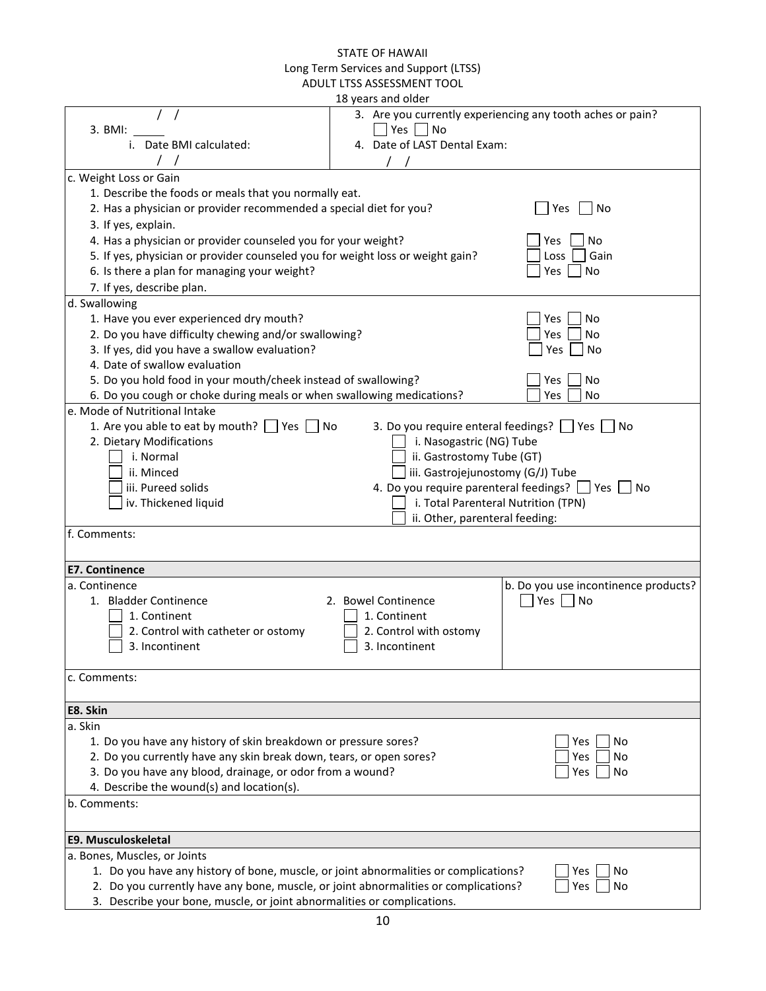|                                                                                      | 18 years and older                |                                                            |
|--------------------------------------------------------------------------------------|-----------------------------------|------------------------------------------------------------|
| 3. BMI:                                                                              | Yes $\Box$ No                     | 3. Are you currently experiencing any tooth aches or pain? |
| i. Date BMI calculated:                                                              | 4. Date of LAST Dental Exam:      |                                                            |
| c. Weight Loss or Gain                                                               |                                   |                                                            |
| 1. Describe the foods or meals that you normally eat.                                |                                   |                                                            |
| 2. Has a physician or provider recommended a special diet for you?                   |                                   | $\Box$ No<br>Yes                                           |
| 3. If yes, explain.                                                                  |                                   |                                                            |
| 4. Has a physician or provider counseled you for your weight?                        |                                   | No<br>Yes                                                  |
| 5. If yes, physician or provider counseled you for weight loss or weight gain?       |                                   | Gain<br>Loss                                               |
| 6. Is there a plan for managing your weight?                                         |                                   | Yes<br>No                                                  |
| 7. If yes, describe plan.                                                            |                                   |                                                            |
|                                                                                      |                                   |                                                            |
| d. Swallowing                                                                        |                                   |                                                            |
| 1. Have you ever experienced dry mouth?                                              |                                   | No<br>Yes                                                  |
| 2. Do you have difficulty chewing and/or swallowing?                                 |                                   | Yes<br>No                                                  |
| 3. If yes, did you have a swallow evaluation?                                        |                                   | Yes<br>No                                                  |
| 4. Date of swallow evaluation                                                        |                                   |                                                            |
| 5. Do you hold food in your mouth/cheek instead of swallowing?                       |                                   | No<br>Yes                                                  |
| 6. Do you cough or choke during meals or when swallowing medications?                |                                   | No<br>Yes                                                  |
| e. Mode of Nutritional Intake                                                        |                                   |                                                            |
| 1. Are you able to eat by mouth? $\Box$ Yes $\Box$ No                                |                                   | 3. Do you require enteral feedings?   Yes   No             |
| 2. Dietary Modifications                                                             | i. Nasogastric (NG) Tube          |                                                            |
| i. Normal                                                                            | ii. Gastrostomy Tube (GT)         |                                                            |
| ii. Minced                                                                           | iii. Gastrojejunostomy (G/J) Tube |                                                            |
| iii. Pureed solids                                                                   |                                   | 4. Do you require parenteral feedings?   Yes   No          |
| iv. Thickened liquid                                                                 |                                   | i. Total Parenteral Nutrition (TPN)                        |
|                                                                                      | ii. Other, parenteral feeding:    |                                                            |
| f. Comments:                                                                         |                                   |                                                            |
|                                                                                      |                                   |                                                            |
| <b>E7. Continence</b>                                                                |                                   |                                                            |
| a. Continence                                                                        |                                   | b. Do you use incontinence products?                       |
| 1. Bladder Continence                                                                | 2. Bowel Continence               | Yes<br>No                                                  |
| 1. Continent                                                                         | 1. Continent                      |                                                            |
| 2. Control with catheter or ostomy                                                   | 2. Control with ostomy            |                                                            |
| 3. Incontinent                                                                       | 3. Incontinent                    |                                                            |
|                                                                                      |                                   |                                                            |
| c. Comments:                                                                         |                                   |                                                            |
|                                                                                      |                                   |                                                            |
| E8. Skin                                                                             |                                   |                                                            |
| a. Skin                                                                              |                                   |                                                            |
| 1. Do you have any history of skin breakdown or pressure sores?                      |                                   | No<br>Yes                                                  |
| 2. Do you currently have any skin break down, tears, or open sores?                  |                                   | No<br>Yes                                                  |
| 3. Do you have any blood, drainage, or odor from a wound?                            |                                   | No<br>Yes                                                  |
| 4. Describe the wound(s) and location(s).                                            |                                   |                                                            |
| b. Comments:                                                                         |                                   |                                                            |
|                                                                                      |                                   |                                                            |
| E9. Musculoskeletal                                                                  |                                   |                                                            |
| a. Bones, Muscles, or Joints                                                         |                                   |                                                            |
| 1. Do you have any history of bone, muscle, or joint abnormalities or complications? |                                   | Yes<br>No                                                  |
| 2. Do you currently have any bone, muscle, or joint abnormalities or complications?  |                                   | Yes<br>No                                                  |
| 3. Describe your bone, muscle, or joint abnormalities or complications.              |                                   |                                                            |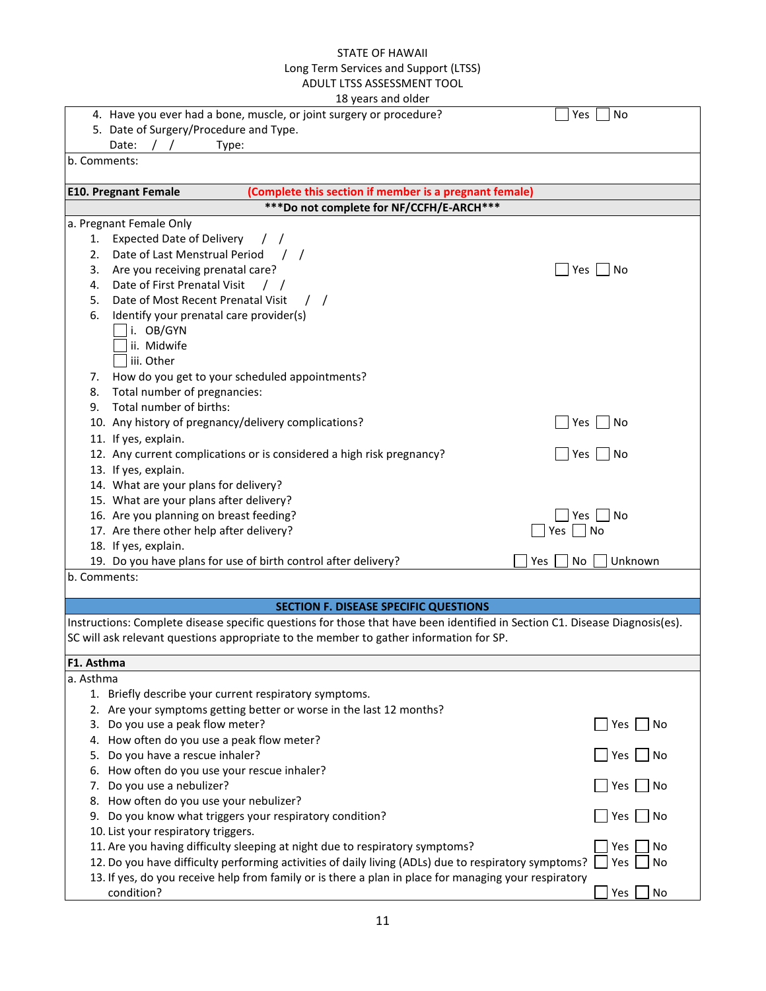|                                                                                                       | TO YEARS AND OINER                                                                                                          |
|-------------------------------------------------------------------------------------------------------|-----------------------------------------------------------------------------------------------------------------------------|
| 4. Have you ever had a bone, muscle, or joint surgery or procedure?                                   | Yes<br>No                                                                                                                   |
| 5. Date of Surgery/Procedure and Type.                                                                |                                                                                                                             |
| Date:<br>Type:                                                                                        |                                                                                                                             |
| b. Comments:                                                                                          |                                                                                                                             |
| <b>E10. Pregnant Female</b>                                                                           | (Complete this section if member is a pregnant female)                                                                      |
|                                                                                                       | *** Do not complete for NF/CCFH/E-ARCH***                                                                                   |
| a. Pregnant Female Only                                                                               |                                                                                                                             |
| <b>Expected Date of Delivery</b><br>1.                                                                |                                                                                                                             |
| Date of Last Menstrual Period<br>2.                                                                   |                                                                                                                             |
| Are you receiving prenatal care?<br>3.                                                                | $Yes$  <br>No                                                                                                               |
| Date of First Prenatal Visit<br>4.                                                                    |                                                                                                                             |
| Date of Most Recent Prenatal Visit<br>5.                                                              |                                                                                                                             |
| Identify your prenatal care provider(s)<br>6.                                                         |                                                                                                                             |
| i. OB/GYN                                                                                             |                                                                                                                             |
| ii. Midwife                                                                                           |                                                                                                                             |
| iii. Other                                                                                            |                                                                                                                             |
| How do you get to your scheduled appointments?<br>7.                                                  |                                                                                                                             |
| Total number of pregnancies:<br>8.                                                                    |                                                                                                                             |
| Total number of births:<br>9.                                                                         |                                                                                                                             |
| 10. Any history of pregnancy/delivery complications?                                                  | $Yes$ No                                                                                                                    |
| 11. If yes, explain.                                                                                  |                                                                                                                             |
| 12. Any current complications or is considered a high risk pregnancy?                                 | $Yes \mid \text{No}$                                                                                                        |
| 13. If yes, explain.                                                                                  |                                                                                                                             |
| 14. What are your plans for delivery?                                                                 |                                                                                                                             |
| 15. What are your plans after delivery?                                                               |                                                                                                                             |
| 16. Are you planning on breast feeding?                                                               | No<br>Yes                                                                                                                   |
| 17. Are there other help after delivery?                                                              | Yes<br>No                                                                                                                   |
| 18. If yes, explain.                                                                                  |                                                                                                                             |
| 19. Do you have plans for use of birth control after delivery?                                        | Unknown<br>No<br>Yes                                                                                                        |
| b. Comments:                                                                                          |                                                                                                                             |
|                                                                                                       | <b>SECTION F. DISEASE SPECIFIC QUESTIONS</b>                                                                                |
|                                                                                                       | Instructions: Complete disease specific questions for those that have been identified in Section C1. Disease Diagnosis(es). |
| SC will ask relevant questions appropriate to the member to gather information for SP.                |                                                                                                                             |
| F1. Asthma                                                                                            |                                                                                                                             |
| a. Asthma                                                                                             |                                                                                                                             |
| 1. Briefly describe your current respiratory symptoms.                                                |                                                                                                                             |
| 2. Are your symptoms getting better or worse in the last 12 months?                                   |                                                                                                                             |
| 3. Do you use a peak flow meter?                                                                      | <b>Yes</b><br>No                                                                                                            |
| 4. How often do you use a peak flow meter?                                                            |                                                                                                                             |
| Do you have a rescue inhaler?<br>5.                                                                   | Yes<br>No                                                                                                                   |
| How often do you use your rescue inhaler?<br>6.                                                       |                                                                                                                             |
| Do you use a nebulizer?<br>7.                                                                         | Yes<br>No                                                                                                                   |
| 8. How often do you use your nebulizer?                                                               |                                                                                                                             |
| Do you know what triggers your respiratory condition?<br>9.                                           | Yes<br>No                                                                                                                   |
| 10. List your respiratory triggers.                                                                   |                                                                                                                             |
| 11. Are you having difficulty sleeping at night due to respiratory symptoms?                          | Yes<br>No                                                                                                                   |
| 12. Do you have difficulty performing activities of daily living (ADLs) due to respiratory symptoms?  | Yes<br>No                                                                                                                   |
| 13. If yes, do you receive help from family or is there a plan in place for managing your respiratory |                                                                                                                             |
| condition?                                                                                            | Yes<br>No                                                                                                                   |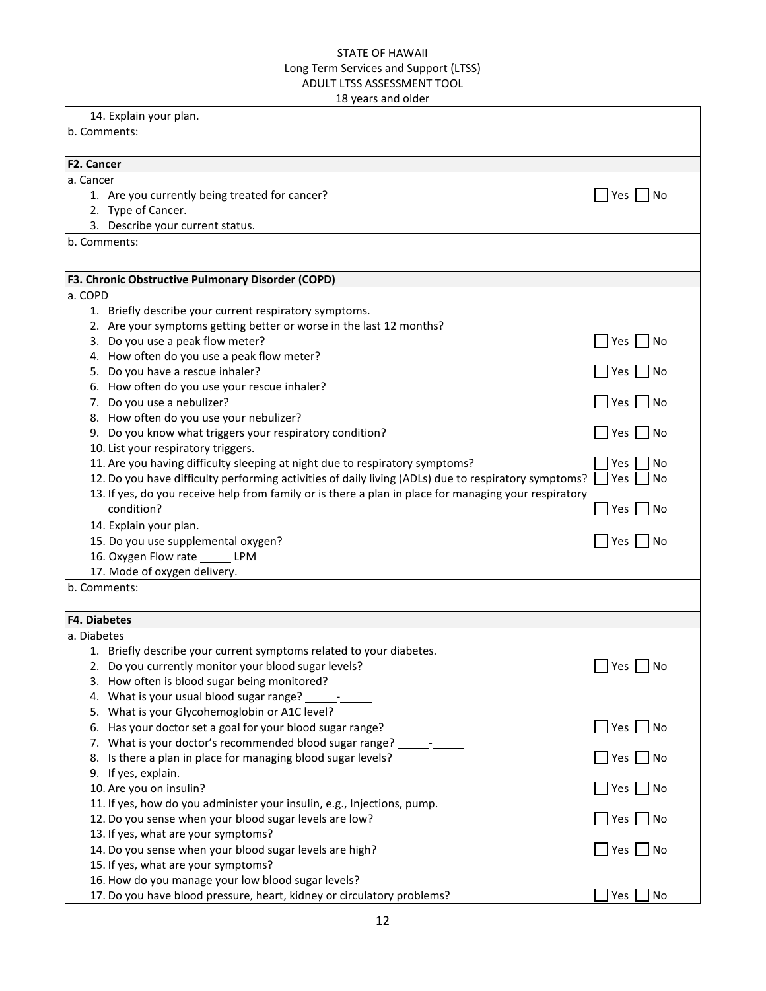| 14. Explain your plan.<br>b. Comments:<br>F2. Cancer<br>a. Cancer<br>1. Are you currently being treated for cancer?<br>Yes<br>  No<br>2. Type of Cancer.<br>3. Describe your current status.<br>b. Comments:<br>F3. Chronic Obstructive Pulmonary Disorder (COPD)<br>a. COPD<br>1. Briefly describe your current respiratory symptoms.<br>2. Are your symptoms getting better or worse in the last 12 months?<br>3. Do you use a peak flow meter?<br>Yes  <br>∣No<br>4. How often do you use a peak flow meter?<br>5. Do you have a rescue inhaler?<br>Yes  <br>  No<br>6. How often do you use your rescue inhaler?<br>7. Do you use a nebulizer?<br>Yes  <br>∣No<br>8. How often do you use your nebulizer?<br>9. Do you know what triggers your respiratory condition?<br>Yes<br>  No<br>10. List your respiratory triggers.<br>11. Are you having difficulty sleeping at night due to respiratory symptoms?<br>Yes<br>No<br>12. Do you have difficulty performing activities of daily living (ADLs) due to respiratory symptoms?<br>Yes<br>No<br>13. If yes, do you receive help from family or is there a plan in place for managing your respiratory<br>condition?<br>  No<br>Yes  <br>14. Explain your plan.<br>15. Do you use supplemental oxygen?<br>  No<br>Yes  <br>16. Oxygen Flow rate _______ LPM<br>17. Mode of oxygen delivery.<br>b. Comments:<br><b>F4. Diabetes</b><br>a. Diabetes<br>1. Briefly describe your current symptoms related to your diabetes.<br>$\Box$ Yes $\Box$ No<br>2. Do you currently monitor your blood sugar levels?<br>3. How often is blood sugar being monitored?<br>4. What is your usual blood sugar range? _________<br>5. What is your Glycohemoglobin or A1C level?<br>6. Has your doctor set a goal for your blood sugar range?<br>Yes  <br>  No<br>7. What is your doctor's recommended blood sugar range? __________<br>8. Is there a plan in place for managing blood sugar levels?<br>Yes<br>$\overline{\phantom{a}}$ No<br>9. If yes, explain.<br>10. Are you on insulin?<br>$\overline{\phantom{a}}$ No<br>Yes<br>11. If yes, how do you administer your insulin, e.g., Injections, pump.<br>12. Do you sense when your blood sugar levels are low?<br>$\Box$ No<br>Yes<br>13. If yes, what are your symptoms?<br>14. Do you sense when your blood sugar levels are high?<br>Yes $\vert$<br>  No<br>15. If yes, what are your symptoms?<br>16. How do you manage your low blood sugar levels? |  |
|------------------------------------------------------------------------------------------------------------------------------------------------------------------------------------------------------------------------------------------------------------------------------------------------------------------------------------------------------------------------------------------------------------------------------------------------------------------------------------------------------------------------------------------------------------------------------------------------------------------------------------------------------------------------------------------------------------------------------------------------------------------------------------------------------------------------------------------------------------------------------------------------------------------------------------------------------------------------------------------------------------------------------------------------------------------------------------------------------------------------------------------------------------------------------------------------------------------------------------------------------------------------------------------------------------------------------------------------------------------------------------------------------------------------------------------------------------------------------------------------------------------------------------------------------------------------------------------------------------------------------------------------------------------------------------------------------------------------------------------------------------------------------------------------------------------------------------------------------------------------------------------------------------------------------------------------------------------------------------------------------------------------------------------------------------------------------------------------------------------------------------------------------------------------------------------------------------------------------------------------------------------------------------------------------------------------------------------------------------------------------------------------------------------------------------------------------|--|
|                                                                                                                                                                                                                                                                                                                                                                                                                                                                                                                                                                                                                                                                                                                                                                                                                                                                                                                                                                                                                                                                                                                                                                                                                                                                                                                                                                                                                                                                                                                                                                                                                                                                                                                                                                                                                                                                                                                                                                                                                                                                                                                                                                                                                                                                                                                                                                                                                                                      |  |
|                                                                                                                                                                                                                                                                                                                                                                                                                                                                                                                                                                                                                                                                                                                                                                                                                                                                                                                                                                                                                                                                                                                                                                                                                                                                                                                                                                                                                                                                                                                                                                                                                                                                                                                                                                                                                                                                                                                                                                                                                                                                                                                                                                                                                                                                                                                                                                                                                                                      |  |
|                                                                                                                                                                                                                                                                                                                                                                                                                                                                                                                                                                                                                                                                                                                                                                                                                                                                                                                                                                                                                                                                                                                                                                                                                                                                                                                                                                                                                                                                                                                                                                                                                                                                                                                                                                                                                                                                                                                                                                                                                                                                                                                                                                                                                                                                                                                                                                                                                                                      |  |
|                                                                                                                                                                                                                                                                                                                                                                                                                                                                                                                                                                                                                                                                                                                                                                                                                                                                                                                                                                                                                                                                                                                                                                                                                                                                                                                                                                                                                                                                                                                                                                                                                                                                                                                                                                                                                                                                                                                                                                                                                                                                                                                                                                                                                                                                                                                                                                                                                                                      |  |
|                                                                                                                                                                                                                                                                                                                                                                                                                                                                                                                                                                                                                                                                                                                                                                                                                                                                                                                                                                                                                                                                                                                                                                                                                                                                                                                                                                                                                                                                                                                                                                                                                                                                                                                                                                                                                                                                                                                                                                                                                                                                                                                                                                                                                                                                                                                                                                                                                                                      |  |
|                                                                                                                                                                                                                                                                                                                                                                                                                                                                                                                                                                                                                                                                                                                                                                                                                                                                                                                                                                                                                                                                                                                                                                                                                                                                                                                                                                                                                                                                                                                                                                                                                                                                                                                                                                                                                                                                                                                                                                                                                                                                                                                                                                                                                                                                                                                                                                                                                                                      |  |
|                                                                                                                                                                                                                                                                                                                                                                                                                                                                                                                                                                                                                                                                                                                                                                                                                                                                                                                                                                                                                                                                                                                                                                                                                                                                                                                                                                                                                                                                                                                                                                                                                                                                                                                                                                                                                                                                                                                                                                                                                                                                                                                                                                                                                                                                                                                                                                                                                                                      |  |
|                                                                                                                                                                                                                                                                                                                                                                                                                                                                                                                                                                                                                                                                                                                                                                                                                                                                                                                                                                                                                                                                                                                                                                                                                                                                                                                                                                                                                                                                                                                                                                                                                                                                                                                                                                                                                                                                                                                                                                                                                                                                                                                                                                                                                                                                                                                                                                                                                                                      |  |
|                                                                                                                                                                                                                                                                                                                                                                                                                                                                                                                                                                                                                                                                                                                                                                                                                                                                                                                                                                                                                                                                                                                                                                                                                                                                                                                                                                                                                                                                                                                                                                                                                                                                                                                                                                                                                                                                                                                                                                                                                                                                                                                                                                                                                                                                                                                                                                                                                                                      |  |
|                                                                                                                                                                                                                                                                                                                                                                                                                                                                                                                                                                                                                                                                                                                                                                                                                                                                                                                                                                                                                                                                                                                                                                                                                                                                                                                                                                                                                                                                                                                                                                                                                                                                                                                                                                                                                                                                                                                                                                                                                                                                                                                                                                                                                                                                                                                                                                                                                                                      |  |
|                                                                                                                                                                                                                                                                                                                                                                                                                                                                                                                                                                                                                                                                                                                                                                                                                                                                                                                                                                                                                                                                                                                                                                                                                                                                                                                                                                                                                                                                                                                                                                                                                                                                                                                                                                                                                                                                                                                                                                                                                                                                                                                                                                                                                                                                                                                                                                                                                                                      |  |
|                                                                                                                                                                                                                                                                                                                                                                                                                                                                                                                                                                                                                                                                                                                                                                                                                                                                                                                                                                                                                                                                                                                                                                                                                                                                                                                                                                                                                                                                                                                                                                                                                                                                                                                                                                                                                                                                                                                                                                                                                                                                                                                                                                                                                                                                                                                                                                                                                                                      |  |
|                                                                                                                                                                                                                                                                                                                                                                                                                                                                                                                                                                                                                                                                                                                                                                                                                                                                                                                                                                                                                                                                                                                                                                                                                                                                                                                                                                                                                                                                                                                                                                                                                                                                                                                                                                                                                                                                                                                                                                                                                                                                                                                                                                                                                                                                                                                                                                                                                                                      |  |
|                                                                                                                                                                                                                                                                                                                                                                                                                                                                                                                                                                                                                                                                                                                                                                                                                                                                                                                                                                                                                                                                                                                                                                                                                                                                                                                                                                                                                                                                                                                                                                                                                                                                                                                                                                                                                                                                                                                                                                                                                                                                                                                                                                                                                                                                                                                                                                                                                                                      |  |
|                                                                                                                                                                                                                                                                                                                                                                                                                                                                                                                                                                                                                                                                                                                                                                                                                                                                                                                                                                                                                                                                                                                                                                                                                                                                                                                                                                                                                                                                                                                                                                                                                                                                                                                                                                                                                                                                                                                                                                                                                                                                                                                                                                                                                                                                                                                                                                                                                                                      |  |
|                                                                                                                                                                                                                                                                                                                                                                                                                                                                                                                                                                                                                                                                                                                                                                                                                                                                                                                                                                                                                                                                                                                                                                                                                                                                                                                                                                                                                                                                                                                                                                                                                                                                                                                                                                                                                                                                                                                                                                                                                                                                                                                                                                                                                                                                                                                                                                                                                                                      |  |
|                                                                                                                                                                                                                                                                                                                                                                                                                                                                                                                                                                                                                                                                                                                                                                                                                                                                                                                                                                                                                                                                                                                                                                                                                                                                                                                                                                                                                                                                                                                                                                                                                                                                                                                                                                                                                                                                                                                                                                                                                                                                                                                                                                                                                                                                                                                                                                                                                                                      |  |
|                                                                                                                                                                                                                                                                                                                                                                                                                                                                                                                                                                                                                                                                                                                                                                                                                                                                                                                                                                                                                                                                                                                                                                                                                                                                                                                                                                                                                                                                                                                                                                                                                                                                                                                                                                                                                                                                                                                                                                                                                                                                                                                                                                                                                                                                                                                                                                                                                                                      |  |
|                                                                                                                                                                                                                                                                                                                                                                                                                                                                                                                                                                                                                                                                                                                                                                                                                                                                                                                                                                                                                                                                                                                                                                                                                                                                                                                                                                                                                                                                                                                                                                                                                                                                                                                                                                                                                                                                                                                                                                                                                                                                                                                                                                                                                                                                                                                                                                                                                                                      |  |
|                                                                                                                                                                                                                                                                                                                                                                                                                                                                                                                                                                                                                                                                                                                                                                                                                                                                                                                                                                                                                                                                                                                                                                                                                                                                                                                                                                                                                                                                                                                                                                                                                                                                                                                                                                                                                                                                                                                                                                                                                                                                                                                                                                                                                                                                                                                                                                                                                                                      |  |
|                                                                                                                                                                                                                                                                                                                                                                                                                                                                                                                                                                                                                                                                                                                                                                                                                                                                                                                                                                                                                                                                                                                                                                                                                                                                                                                                                                                                                                                                                                                                                                                                                                                                                                                                                                                                                                                                                                                                                                                                                                                                                                                                                                                                                                                                                                                                                                                                                                                      |  |
|                                                                                                                                                                                                                                                                                                                                                                                                                                                                                                                                                                                                                                                                                                                                                                                                                                                                                                                                                                                                                                                                                                                                                                                                                                                                                                                                                                                                                                                                                                                                                                                                                                                                                                                                                                                                                                                                                                                                                                                                                                                                                                                                                                                                                                                                                                                                                                                                                                                      |  |
|                                                                                                                                                                                                                                                                                                                                                                                                                                                                                                                                                                                                                                                                                                                                                                                                                                                                                                                                                                                                                                                                                                                                                                                                                                                                                                                                                                                                                                                                                                                                                                                                                                                                                                                                                                                                                                                                                                                                                                                                                                                                                                                                                                                                                                                                                                                                                                                                                                                      |  |
|                                                                                                                                                                                                                                                                                                                                                                                                                                                                                                                                                                                                                                                                                                                                                                                                                                                                                                                                                                                                                                                                                                                                                                                                                                                                                                                                                                                                                                                                                                                                                                                                                                                                                                                                                                                                                                                                                                                                                                                                                                                                                                                                                                                                                                                                                                                                                                                                                                                      |  |
|                                                                                                                                                                                                                                                                                                                                                                                                                                                                                                                                                                                                                                                                                                                                                                                                                                                                                                                                                                                                                                                                                                                                                                                                                                                                                                                                                                                                                                                                                                                                                                                                                                                                                                                                                                                                                                                                                                                                                                                                                                                                                                                                                                                                                                                                                                                                                                                                                                                      |  |
|                                                                                                                                                                                                                                                                                                                                                                                                                                                                                                                                                                                                                                                                                                                                                                                                                                                                                                                                                                                                                                                                                                                                                                                                                                                                                                                                                                                                                                                                                                                                                                                                                                                                                                                                                                                                                                                                                                                                                                                                                                                                                                                                                                                                                                                                                                                                                                                                                                                      |  |
|                                                                                                                                                                                                                                                                                                                                                                                                                                                                                                                                                                                                                                                                                                                                                                                                                                                                                                                                                                                                                                                                                                                                                                                                                                                                                                                                                                                                                                                                                                                                                                                                                                                                                                                                                                                                                                                                                                                                                                                                                                                                                                                                                                                                                                                                                                                                                                                                                                                      |  |
|                                                                                                                                                                                                                                                                                                                                                                                                                                                                                                                                                                                                                                                                                                                                                                                                                                                                                                                                                                                                                                                                                                                                                                                                                                                                                                                                                                                                                                                                                                                                                                                                                                                                                                                                                                                                                                                                                                                                                                                                                                                                                                                                                                                                                                                                                                                                                                                                                                                      |  |
|                                                                                                                                                                                                                                                                                                                                                                                                                                                                                                                                                                                                                                                                                                                                                                                                                                                                                                                                                                                                                                                                                                                                                                                                                                                                                                                                                                                                                                                                                                                                                                                                                                                                                                                                                                                                                                                                                                                                                                                                                                                                                                                                                                                                                                                                                                                                                                                                                                                      |  |
|                                                                                                                                                                                                                                                                                                                                                                                                                                                                                                                                                                                                                                                                                                                                                                                                                                                                                                                                                                                                                                                                                                                                                                                                                                                                                                                                                                                                                                                                                                                                                                                                                                                                                                                                                                                                                                                                                                                                                                                                                                                                                                                                                                                                                                                                                                                                                                                                                                                      |  |
|                                                                                                                                                                                                                                                                                                                                                                                                                                                                                                                                                                                                                                                                                                                                                                                                                                                                                                                                                                                                                                                                                                                                                                                                                                                                                                                                                                                                                                                                                                                                                                                                                                                                                                                                                                                                                                                                                                                                                                                                                                                                                                                                                                                                                                                                                                                                                                                                                                                      |  |
|                                                                                                                                                                                                                                                                                                                                                                                                                                                                                                                                                                                                                                                                                                                                                                                                                                                                                                                                                                                                                                                                                                                                                                                                                                                                                                                                                                                                                                                                                                                                                                                                                                                                                                                                                                                                                                                                                                                                                                                                                                                                                                                                                                                                                                                                                                                                                                                                                                                      |  |
|                                                                                                                                                                                                                                                                                                                                                                                                                                                                                                                                                                                                                                                                                                                                                                                                                                                                                                                                                                                                                                                                                                                                                                                                                                                                                                                                                                                                                                                                                                                                                                                                                                                                                                                                                                                                                                                                                                                                                                                                                                                                                                                                                                                                                                                                                                                                                                                                                                                      |  |
|                                                                                                                                                                                                                                                                                                                                                                                                                                                                                                                                                                                                                                                                                                                                                                                                                                                                                                                                                                                                                                                                                                                                                                                                                                                                                                                                                                                                                                                                                                                                                                                                                                                                                                                                                                                                                                                                                                                                                                                                                                                                                                                                                                                                                                                                                                                                                                                                                                                      |  |
|                                                                                                                                                                                                                                                                                                                                                                                                                                                                                                                                                                                                                                                                                                                                                                                                                                                                                                                                                                                                                                                                                                                                                                                                                                                                                                                                                                                                                                                                                                                                                                                                                                                                                                                                                                                                                                                                                                                                                                                                                                                                                                                                                                                                                                                                                                                                                                                                                                                      |  |
|                                                                                                                                                                                                                                                                                                                                                                                                                                                                                                                                                                                                                                                                                                                                                                                                                                                                                                                                                                                                                                                                                                                                                                                                                                                                                                                                                                                                                                                                                                                                                                                                                                                                                                                                                                                                                                                                                                                                                                                                                                                                                                                                                                                                                                                                                                                                                                                                                                                      |  |
|                                                                                                                                                                                                                                                                                                                                                                                                                                                                                                                                                                                                                                                                                                                                                                                                                                                                                                                                                                                                                                                                                                                                                                                                                                                                                                                                                                                                                                                                                                                                                                                                                                                                                                                                                                                                                                                                                                                                                                                                                                                                                                                                                                                                                                                                                                                                                                                                                                                      |  |
|                                                                                                                                                                                                                                                                                                                                                                                                                                                                                                                                                                                                                                                                                                                                                                                                                                                                                                                                                                                                                                                                                                                                                                                                                                                                                                                                                                                                                                                                                                                                                                                                                                                                                                                                                                                                                                                                                                                                                                                                                                                                                                                                                                                                                                                                                                                                                                                                                                                      |  |
|                                                                                                                                                                                                                                                                                                                                                                                                                                                                                                                                                                                                                                                                                                                                                                                                                                                                                                                                                                                                                                                                                                                                                                                                                                                                                                                                                                                                                                                                                                                                                                                                                                                                                                                                                                                                                                                                                                                                                                                                                                                                                                                                                                                                                                                                                                                                                                                                                                                      |  |
|                                                                                                                                                                                                                                                                                                                                                                                                                                                                                                                                                                                                                                                                                                                                                                                                                                                                                                                                                                                                                                                                                                                                                                                                                                                                                                                                                                                                                                                                                                                                                                                                                                                                                                                                                                                                                                                                                                                                                                                                                                                                                                                                                                                                                                                                                                                                                                                                                                                      |  |
|                                                                                                                                                                                                                                                                                                                                                                                                                                                                                                                                                                                                                                                                                                                                                                                                                                                                                                                                                                                                                                                                                                                                                                                                                                                                                                                                                                                                                                                                                                                                                                                                                                                                                                                                                                                                                                                                                                                                                                                                                                                                                                                                                                                                                                                                                                                                                                                                                                                      |  |
|                                                                                                                                                                                                                                                                                                                                                                                                                                                                                                                                                                                                                                                                                                                                                                                                                                                                                                                                                                                                                                                                                                                                                                                                                                                                                                                                                                                                                                                                                                                                                                                                                                                                                                                                                                                                                                                                                                                                                                                                                                                                                                                                                                                                                                                                                                                                                                                                                                                      |  |
|                                                                                                                                                                                                                                                                                                                                                                                                                                                                                                                                                                                                                                                                                                                                                                                                                                                                                                                                                                                                                                                                                                                                                                                                                                                                                                                                                                                                                                                                                                                                                                                                                                                                                                                                                                                                                                                                                                                                                                                                                                                                                                                                                                                                                                                                                                                                                                                                                                                      |  |
|                                                                                                                                                                                                                                                                                                                                                                                                                                                                                                                                                                                                                                                                                                                                                                                                                                                                                                                                                                                                                                                                                                                                                                                                                                                                                                                                                                                                                                                                                                                                                                                                                                                                                                                                                                                                                                                                                                                                                                                                                                                                                                                                                                                                                                                                                                                                                                                                                                                      |  |
|                                                                                                                                                                                                                                                                                                                                                                                                                                                                                                                                                                                                                                                                                                                                                                                                                                                                                                                                                                                                                                                                                                                                                                                                                                                                                                                                                                                                                                                                                                                                                                                                                                                                                                                                                                                                                                                                                                                                                                                                                                                                                                                                                                                                                                                                                                                                                                                                                                                      |  |
|                                                                                                                                                                                                                                                                                                                                                                                                                                                                                                                                                                                                                                                                                                                                                                                                                                                                                                                                                                                                                                                                                                                                                                                                                                                                                                                                                                                                                                                                                                                                                                                                                                                                                                                                                                                                                                                                                                                                                                                                                                                                                                                                                                                                                                                                                                                                                                                                                                                      |  |
|                                                                                                                                                                                                                                                                                                                                                                                                                                                                                                                                                                                                                                                                                                                                                                                                                                                                                                                                                                                                                                                                                                                                                                                                                                                                                                                                                                                                                                                                                                                                                                                                                                                                                                                                                                                                                                                                                                                                                                                                                                                                                                                                                                                                                                                                                                                                                                                                                                                      |  |
|                                                                                                                                                                                                                                                                                                                                                                                                                                                                                                                                                                                                                                                                                                                                                                                                                                                                                                                                                                                                                                                                                                                                                                                                                                                                                                                                                                                                                                                                                                                                                                                                                                                                                                                                                                                                                                                                                                                                                                                                                                                                                                                                                                                                                                                                                                                                                                                                                                                      |  |
|                                                                                                                                                                                                                                                                                                                                                                                                                                                                                                                                                                                                                                                                                                                                                                                                                                                                                                                                                                                                                                                                                                                                                                                                                                                                                                                                                                                                                                                                                                                                                                                                                                                                                                                                                                                                                                                                                                                                                                                                                                                                                                                                                                                                                                                                                                                                                                                                                                                      |  |
|                                                                                                                                                                                                                                                                                                                                                                                                                                                                                                                                                                                                                                                                                                                                                                                                                                                                                                                                                                                                                                                                                                                                                                                                                                                                                                                                                                                                                                                                                                                                                                                                                                                                                                                                                                                                                                                                                                                                                                                                                                                                                                                                                                                                                                                                                                                                                                                                                                                      |  |
|                                                                                                                                                                                                                                                                                                                                                                                                                                                                                                                                                                                                                                                                                                                                                                                                                                                                                                                                                                                                                                                                                                                                                                                                                                                                                                                                                                                                                                                                                                                                                                                                                                                                                                                                                                                                                                                                                                                                                                                                                                                                                                                                                                                                                                                                                                                                                                                                                                                      |  |
| 17. Do you have blood pressure, heart, kidney or circulatory problems?<br>No<br>Yes                                                                                                                                                                                                                                                                                                                                                                                                                                                                                                                                                                                                                                                                                                                                                                                                                                                                                                                                                                                                                                                                                                                                                                                                                                                                                                                                                                                                                                                                                                                                                                                                                                                                                                                                                                                                                                                                                                                                                                                                                                                                                                                                                                                                                                                                                                                                                                  |  |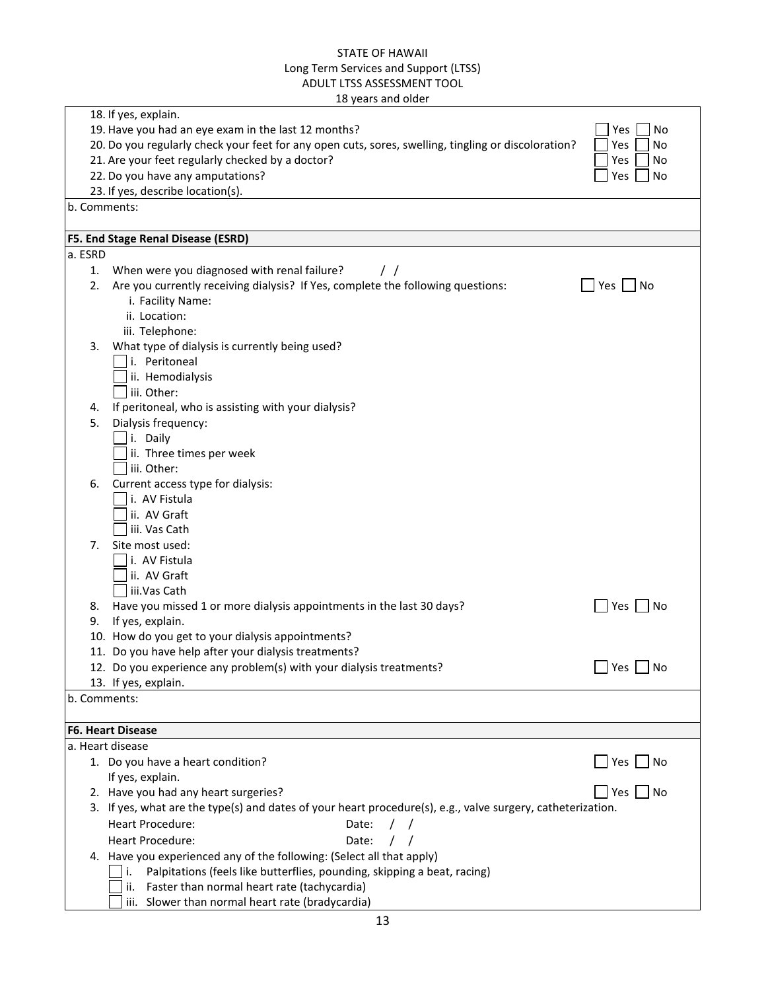|         |    | 18 years and older                                                                                          |               |
|---------|----|-------------------------------------------------------------------------------------------------------------|---------------|
|         |    | 18. If yes, explain.                                                                                        |               |
|         |    | 19. Have you had an eye exam in the last 12 months?                                                         | Yes<br>No     |
|         |    | 20. Do you regularly check your feet for any open cuts, sores, swelling, tingling or discoloration?         | Yes<br>No     |
|         |    | 21. Are your feet regularly checked by a doctor?                                                            | Yes<br>No     |
|         |    | 22. Do you have any amputations?<br>23. If yes, describe location(s).                                       | Yes<br>No     |
|         |    | b. Comments:                                                                                                |               |
|         |    |                                                                                                             |               |
|         |    | F5. End Stage Renal Disease (ESRD)                                                                          |               |
| a. ESRD |    |                                                                                                             |               |
|         | 1. | When were you diagnosed with renal failure?<br>$\prime$ /                                                   |               |
|         | 2. | Are you currently receiving dialysis? If Yes, complete the following questions:                             | $Yes \cup No$ |
|         |    | i. Facility Name:                                                                                           |               |
|         |    | ii. Location:                                                                                               |               |
|         |    | iii. Telephone:                                                                                             |               |
|         | 3. | What type of dialysis is currently being used?                                                              |               |
|         |    | i. Peritoneal                                                                                               |               |
|         |    | ii. Hemodialysis                                                                                            |               |
|         |    | iii. Other:                                                                                                 |               |
|         | 4. | If peritoneal, who is assisting with your dialysis?                                                         |               |
|         | 5. | Dialysis frequency:<br>i. Daily                                                                             |               |
|         |    | ii. Three times per week                                                                                    |               |
|         |    | iii. Other:                                                                                                 |               |
|         | 6. | Current access type for dialysis:                                                                           |               |
|         |    | i. AV Fistula                                                                                               |               |
|         |    | ii. AV Graft                                                                                                |               |
|         |    | iii. Vas Cath                                                                                               |               |
|         | 7. | Site most used:                                                                                             |               |
|         |    | i. AV Fistula                                                                                               |               |
|         |    | ii. AV Graft                                                                                                |               |
|         |    | iii.Vas Cath                                                                                                |               |
|         | 8. | Have you missed 1 or more dialysis appointments in the last 30 days?                                        | Yes<br>No     |
|         | 9. | If yes, explain.                                                                                            |               |
|         |    | 10. How do you get to your dialysis appointments?                                                           |               |
|         |    | 11. Do you have help after your dialysis treatments?                                                        |               |
|         |    | 12. Do you experience any problem(s) with your dialysis treatments?                                         | Yes<br>No     |
|         |    | 13. If yes, explain.                                                                                        |               |
|         |    | b. Comments:                                                                                                |               |
|         |    | F6. Heart Disease                                                                                           |               |
|         |    | a. Heart disease                                                                                            |               |
|         |    | 1. Do you have a heart condition?                                                                           | Yes<br>No     |
|         |    | If yes, explain.                                                                                            |               |
|         |    | 2. Have you had any heart surgeries?                                                                        | No<br>Yes     |
|         |    | 3. If yes, what are the type(s) and dates of your heart procedure(s), e.g., valve surgery, catheterization. |               |
|         |    | <b>Heart Procedure:</b><br>Date:                                                                            |               |
|         |    | Heart Procedure:<br>Date:                                                                                   |               |
|         |    | 4. Have you experienced any of the following: (Select all that apply)                                       |               |
|         |    | Palpitations (feels like butterflies, pounding, skipping a beat, racing)<br>i.                              |               |
|         |    | Faster than normal heart rate (tachycardia)<br>ii.                                                          |               |
|         |    | iii. Slower than normal heart rate (bradycardia)                                                            |               |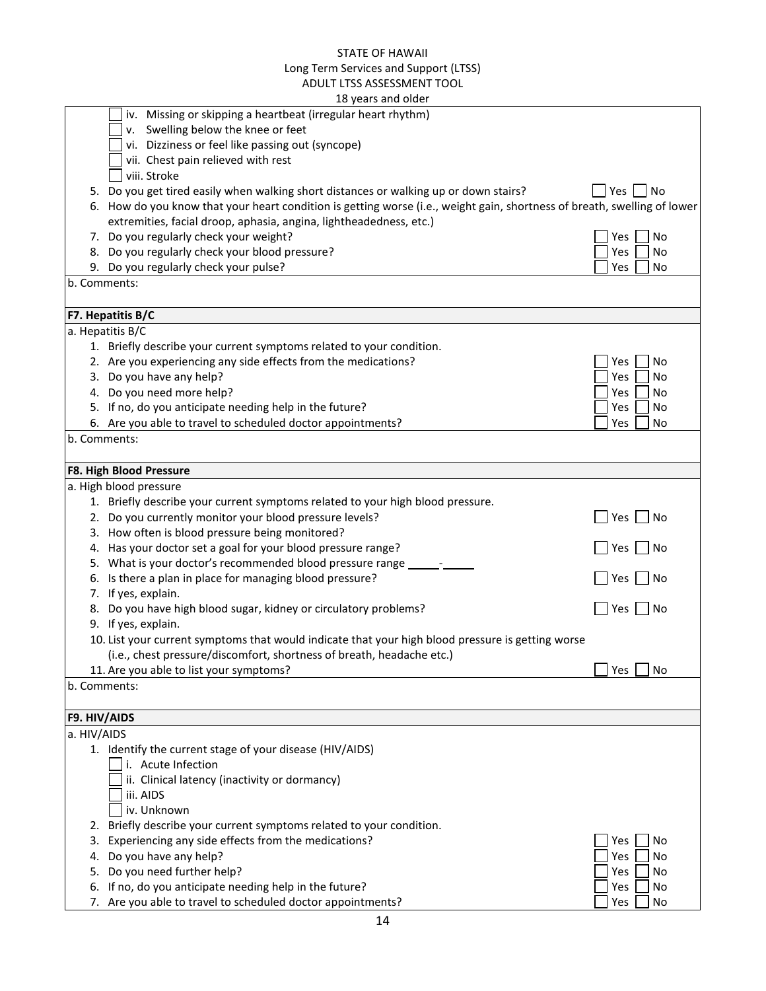|              | 18 years and older                                                                                                       |                    |
|--------------|--------------------------------------------------------------------------------------------------------------------------|--------------------|
|              | iv. Missing or skipping a heartbeat (irregular heart rhythm)                                                             |                    |
|              | Swelling below the knee or feet<br>ν.                                                                                    |                    |
|              | vi. Dizziness or feel like passing out (syncope)                                                                         |                    |
|              | vii. Chest pain relieved with rest                                                                                       |                    |
|              | viii. Stroke                                                                                                             |                    |
|              | 5. Do you get tired easily when walking short distances or walking up or down stairs?                                    | Yes <br>$ $ No     |
|              | 6. How do you know that your heart condition is getting worse (i.e., weight gain, shortness of breath, swelling of lower |                    |
|              | extremities, facial droop, aphasia, angina, lightheadedness, etc.)                                                       |                    |
|              | 7. Do you regularly check your weight?                                                                                   | Yes<br>No          |
|              | 8. Do you regularly check your blood pressure?                                                                           | Yes<br>No          |
|              | 9. Do you regularly check your pulse?                                                                                    | Yes<br>No          |
|              | b. Comments:                                                                                                             |                    |
|              |                                                                                                                          |                    |
|              | F7. Hepatitis B/C                                                                                                        |                    |
|              | a. Hepatitis B/C                                                                                                         |                    |
|              | 1. Briefly describe your current symptoms related to your condition.                                                     |                    |
|              | 2. Are you experiencing any side effects from the medications?                                                           | Yes<br>No          |
|              | 3. Do you have any help?                                                                                                 | Yes<br>No          |
|              | 4. Do you need more help?                                                                                                | Yes<br>No          |
|              | 5. If no, do you anticipate needing help in the future?                                                                  |                    |
|              |                                                                                                                          | Yes<br>No          |
|              | 6. Are you able to travel to scheduled doctor appointments?                                                              | Yes<br>No          |
|              | b. Comments:                                                                                                             |                    |
|              |                                                                                                                          |                    |
|              | F8. High Blood Pressure                                                                                                  |                    |
|              | a. High blood pressure                                                                                                   |                    |
|              | 1. Briefly describe your current symptoms related to your high blood pressure.                                           |                    |
|              | 2. Do you currently monitor your blood pressure levels?                                                                  | Yes<br>No          |
|              | 3. How often is blood pressure being monitored?                                                                          |                    |
|              | 4. Has your doctor set a goal for your blood pressure range?                                                             | Yes<br>No          |
|              | 5. What is your doctor's recommended blood pressure range __________                                                     |                    |
|              | 6. Is there a plan in place for managing blood pressure?                                                                 | <b>Yes</b><br>  No |
|              | 7. If yes, explain.                                                                                                      |                    |
|              | 8. Do you have high blood sugar, kidney or circulatory problems?                                                         | <b>Yes</b><br>No   |
|              | 9. If yes, explain.                                                                                                      |                    |
|              | 10. List your current symptoms that would indicate that your high blood pressure is getting worse                        |                    |
|              | (i.e., chest pressure/discomfort, shortness of breath, headache etc.)                                                    |                    |
|              | 11. Are you able to list your symptoms?                                                                                  | Yes<br>No          |
|              | b. Comments:                                                                                                             |                    |
|              |                                                                                                                          |                    |
| F9. HIV/AIDS |                                                                                                                          |                    |
| a. HIV/AIDS  |                                                                                                                          |                    |
|              | 1. Identify the current stage of your disease (HIV/AIDS)                                                                 |                    |
|              | i. Acute Infection                                                                                                       |                    |
|              | ii. Clinical latency (inactivity or dormancy)                                                                            |                    |
|              | iii. AIDS                                                                                                                |                    |
|              | iv. Unknown                                                                                                              |                    |
|              | 2. Briefly describe your current symptoms related to your condition.                                                     |                    |
| 3.           | Experiencing any side effects from the medications?                                                                      | Yes<br>No          |
| 4.           | Do you have any help?                                                                                                    | Yes<br>No          |
| 5.           | Do you need further help?                                                                                                | Yes<br>No          |
| 6.           | If no, do you anticipate needing help in the future?                                                                     | Yes<br>No          |
|              | 7. Are you able to travel to scheduled doctor appointments?                                                              | Yes<br>No          |
|              |                                                                                                                          |                    |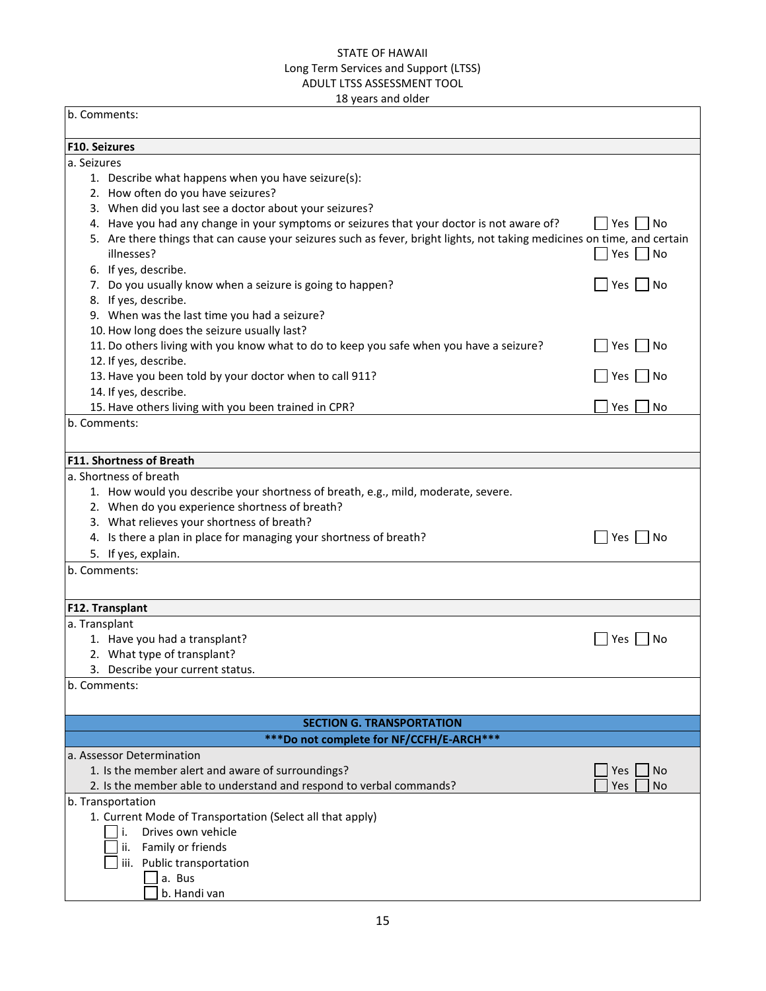18 years and older b. Comments: **F10. Seizures** a. Seizures 1. Describe what happens when you have seizure(s): 2. How often do you have seizures? 3. When did you last see a doctor about your seizures? 4. Have you had any change in your symptoms or seizures that your doctor is not aware of?  $\Box$  Yes  $\Box$  No 5. Are there things that can cause your seizures such as fever, bright lights, not taking medicines on time, and certain  $\Box$  Yes  $\Box$  No  $\Box$  Yes  $\Box$  No  $\Box$  Yes  $\Box$  No  $\Box$  Yes  $\Box$  No  $\Box$  Yes  $\Box$  No  $\Box$  Yes  $\Box$  No  $\Box$  Yes  $\Box$  No  $\Box$  Yes  $\Box$  No  $\Box$  Yes  $\Box$  No  $\Box$  Yes  $\Box$  No  $\Box$  Yes  $\Box$  No  $\Box$  Yes  $\Box$  No  $\Box$  Yes  $\Box$  No 6. If yes, describe. 7. Do you usually know when a seizure is going to happen?  $\Box$  Yes  $\Box$  No 8. If yes, describe. 9. When was the last time you had a seizure? 10. How long does the seizure usually last? 11. Do others living with you know what to do to keep you safe when you have a seizure?  $\Box$  Yes  $\Box$  No 12. If yes, describe. 13. Have you been told by your doctor when to call 911? 14. If yes, describe. 15. Have others living with you been trained in CPR?  $\Box$  Yes  $\Box$  Yes  $\Box$  No b. Comments: **F11. Shortness of Breath** a. Shortness of breath 1. How would you describe your shortness of breath, e.g., mild, moderate, severe. 2. When do you experience shortness of breath? 3. What relieves your shortness of breath? 4. Is there a plan in place for managing your shortness of breath?  $\Box$  Yes  $\Box$  No 5. If yes, explain. b. Comments: **F12. Transplant** a. Transplant 1. Have you had a transplant?  $\Box$  Yes  $\Box$  No 2. What type of transplant? **SECTION G. TRANSPORTATION \*\*\*Do not complete for NF/CCFH/E-ARCH\*\*\***

3. Describe your current status. b. Comments: a. Assessor Determination 1. Is the member alert and aware of surroundings?  $\Box$  Yes  $\Box$  Yes  $\Box$  Yes  $\Box$  No 2. Is the member able to understand and respond to verbal commands?  $\Box$  Yes  $\Box$  No b. Transportation 1. Current Mode of Transportation (Select all that apply) i. Drives own vehicle ii. Family or friends liii. Public transportation  $\Box$  a. Bus

b. Handi van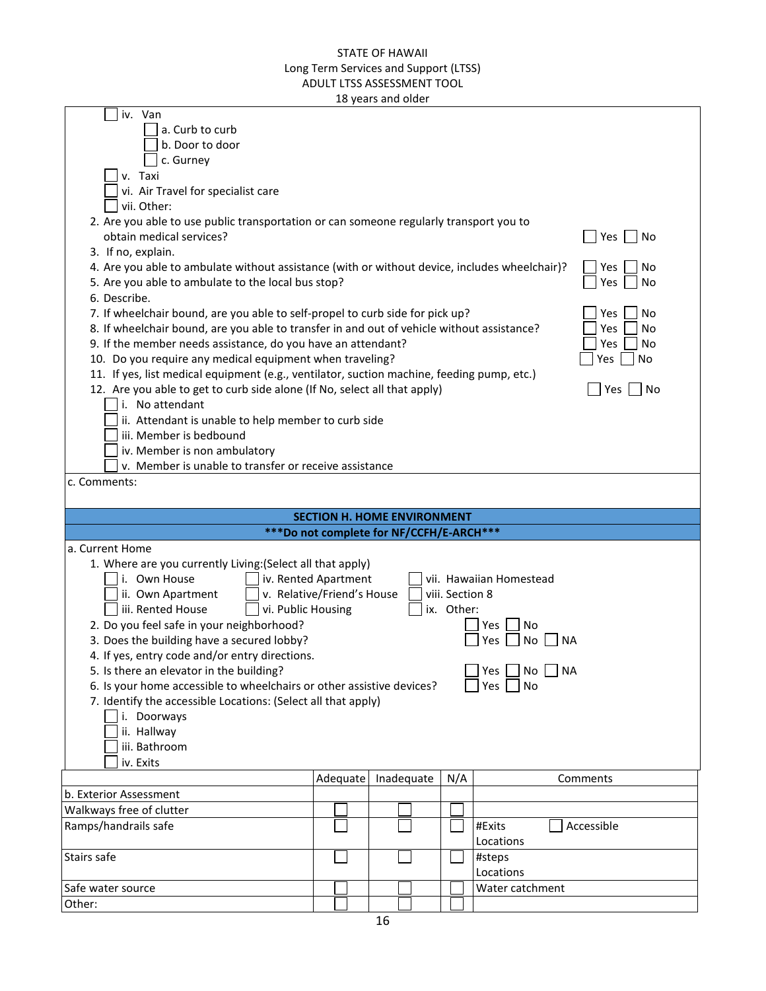|  | 18 years and older |
|--|--------------------|
|--|--------------------|

| iv. Van<br>a. Curb to curb                                                                                                                                              |                            |            |                 |                         |  |  |  |  |  |
|-------------------------------------------------------------------------------------------------------------------------------------------------------------------------|----------------------------|------------|-----------------|-------------------------|--|--|--|--|--|
| b. Door to door                                                                                                                                                         |                            |            |                 |                         |  |  |  |  |  |
| c. Gurney                                                                                                                                                               |                            |            |                 |                         |  |  |  |  |  |
| v. Taxi                                                                                                                                                                 |                            |            |                 |                         |  |  |  |  |  |
| vi. Air Travel for specialist care                                                                                                                                      |                            |            |                 |                         |  |  |  |  |  |
| vii. Other:                                                                                                                                                             |                            |            |                 |                         |  |  |  |  |  |
| 2. Are you able to use public transportation or can someone regularly transport you to                                                                                  |                            |            |                 |                         |  |  |  |  |  |
| obtain medical services?<br>Yes  <br>No                                                                                                                                 |                            |            |                 |                         |  |  |  |  |  |
| 3. If no, explain.                                                                                                                                                      |                            |            |                 |                         |  |  |  |  |  |
| 4. Are you able to ambulate without assistance (with or without device, includes wheelchair)?<br>Yes<br>No                                                              |                            |            |                 |                         |  |  |  |  |  |
| 5. Are you able to ambulate to the local bus stop?<br>Yes<br>No                                                                                                         |                            |            |                 |                         |  |  |  |  |  |
| 6. Describe.                                                                                                                                                            |                            |            |                 |                         |  |  |  |  |  |
| 7. If wheelchair bound, are you able to self-propel to curb side for pick up?                                                                                           |                            |            |                 | Yes<br>No               |  |  |  |  |  |
| 8. If wheelchair bound, are you able to transfer in and out of vehicle without assistance?                                                                              |                            |            |                 | Yes<br>No               |  |  |  |  |  |
| 9. If the member needs assistance, do you have an attendant?                                                                                                            |                            |            |                 | No<br>Yes               |  |  |  |  |  |
| 10. Do you require any medical equipment when traveling?                                                                                                                |                            |            |                 | <b>No</b><br>Yes        |  |  |  |  |  |
| 11. If yes, list medical equipment (e.g., ventilator, suction machine, feeding pump, etc.)<br>12. Are you able to get to curb side alone (If No, select all that apply) |                            |            |                 | Yes<br>  No             |  |  |  |  |  |
| i. No attendant                                                                                                                                                         |                            |            |                 |                         |  |  |  |  |  |
| ii. Attendant is unable to help member to curb side                                                                                                                     |                            |            |                 |                         |  |  |  |  |  |
| iii. Member is bedbound                                                                                                                                                 |                            |            |                 |                         |  |  |  |  |  |
| iv. Member is non ambulatory                                                                                                                                            |                            |            |                 |                         |  |  |  |  |  |
| v. Member is unable to transfer or receive assistance                                                                                                                   |                            |            |                 |                         |  |  |  |  |  |
| c. Comments:                                                                                                                                                            |                            |            |                 |                         |  |  |  |  |  |
|                                                                                                                                                                         |                            |            |                 |                         |  |  |  |  |  |
|                                                                                                                                                                         |                            |            |                 |                         |  |  |  |  |  |
| <b>SECTION H. HOME ENVIRONMENT</b><br>***Do not complete for NF/CCFH/E-ARCH***                                                                                          |                            |            |                 |                         |  |  |  |  |  |
| a. Current Home                                                                                                                                                         |                            |            |                 |                         |  |  |  |  |  |
| 1. Where are you currently Living: (Select all that apply)                                                                                                              |                            |            |                 |                         |  |  |  |  |  |
| i. Own House                                                                                                                                                            | iv. Rented Apartment       |            |                 | vii. Hawaiian Homestead |  |  |  |  |  |
| ii. Own Apartment                                                                                                                                                       | v. Relative/Friend's House |            | viii. Section 8 |                         |  |  |  |  |  |
| iii. Rented House<br>vi. Public Housing                                                                                                                                 |                            |            | ix. Other:      |                         |  |  |  |  |  |
| 2. Do you feel safe in your neighborhood?                                                                                                                               |                            |            |                 | No<br>Yes               |  |  |  |  |  |
| 3. Does the building have a secured lobby?                                                                                                                              |                            |            |                 | Yes<br>No<br>ΝA         |  |  |  |  |  |
| 4. If yes, entry code and/or entry directions.                                                                                                                          |                            |            |                 |                         |  |  |  |  |  |
| 5. Is there an elevator in the building?                                                                                                                                |                            |            |                 | Yes<br>No<br><b>NA</b>  |  |  |  |  |  |
| 6. Is your home accessible to wheelchairs or other assistive devices?                                                                                                   |                            |            |                 | Yes<br>No               |  |  |  |  |  |
| 7. Identify the accessible Locations: (Select all that apply)                                                                                                           |                            |            |                 |                         |  |  |  |  |  |
| i. Doorways                                                                                                                                                             |                            |            |                 |                         |  |  |  |  |  |
|                                                                                                                                                                         | ii. Hallway                |            |                 |                         |  |  |  |  |  |
| iii. Bathroom                                                                                                                                                           |                            |            |                 |                         |  |  |  |  |  |
| iv. Exits                                                                                                                                                               |                            |            |                 |                         |  |  |  |  |  |
|                                                                                                                                                                         | Adequate                   | Inadequate | N/A             | Comments                |  |  |  |  |  |
| b. Exterior Assessment                                                                                                                                                  |                            |            |                 |                         |  |  |  |  |  |
| Walkways free of clutter                                                                                                                                                |                            |            |                 |                         |  |  |  |  |  |
| Ramps/handrails safe                                                                                                                                                    |                            |            |                 | Accessible<br>#Exits    |  |  |  |  |  |
| Stairs safe                                                                                                                                                             |                            |            |                 | Locations               |  |  |  |  |  |
|                                                                                                                                                                         |                            |            |                 | #steps<br>Locations     |  |  |  |  |  |
|                                                                                                                                                                         |                            |            |                 |                         |  |  |  |  |  |
|                                                                                                                                                                         |                            |            |                 |                         |  |  |  |  |  |
| Safe water source<br>Other:                                                                                                                                             |                            |            |                 | Water catchment         |  |  |  |  |  |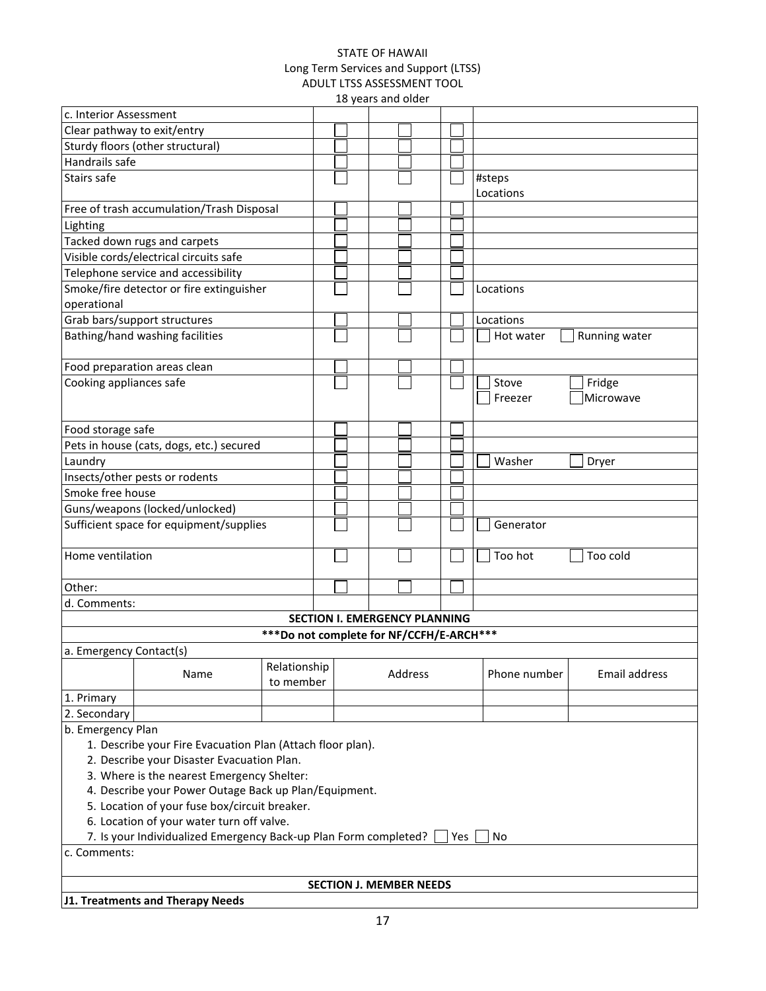| 18 years and older                                                            |                                           |                                           |  |  |                                      |  |  |  |              |               |
|-------------------------------------------------------------------------------|-------------------------------------------|-------------------------------------------|--|--|--------------------------------------|--|--|--|--------------|---------------|
| c. Interior Assessment                                                        |                                           |                                           |  |  |                                      |  |  |  |              |               |
| Clear pathway to exit/entry                                                   |                                           |                                           |  |  |                                      |  |  |  |              |               |
|                                                                               | Sturdy floors (other structural)          |                                           |  |  |                                      |  |  |  |              |               |
| Handrails safe                                                                |                                           |                                           |  |  |                                      |  |  |  |              |               |
| Stairs safe                                                                   |                                           |                                           |  |  |                                      |  |  |  | #steps       |               |
|                                                                               |                                           |                                           |  |  |                                      |  |  |  | Locations    |               |
|                                                                               | Free of trash accumulation/Trash Disposal |                                           |  |  |                                      |  |  |  |              |               |
| Lighting                                                                      |                                           |                                           |  |  |                                      |  |  |  |              |               |
|                                                                               | Tacked down rugs and carpets              |                                           |  |  |                                      |  |  |  |              |               |
|                                                                               | Visible cords/electrical circuits safe    |                                           |  |  |                                      |  |  |  |              |               |
|                                                                               | Telephone service and accessibility       |                                           |  |  |                                      |  |  |  |              |               |
|                                                                               | Smoke/fire detector or fire extinguisher  |                                           |  |  |                                      |  |  |  | Locations    |               |
| operational                                                                   |                                           |                                           |  |  |                                      |  |  |  |              |               |
|                                                                               | Grab bars/support structures              |                                           |  |  |                                      |  |  |  | Locations    |               |
|                                                                               | Bathing/hand washing facilities           |                                           |  |  |                                      |  |  |  | Hot water    | Running water |
|                                                                               |                                           |                                           |  |  |                                      |  |  |  |              |               |
|                                                                               | Food preparation areas clean              |                                           |  |  |                                      |  |  |  |              |               |
| Cooking appliances safe                                                       |                                           |                                           |  |  |                                      |  |  |  | Stove        | Fridge        |
|                                                                               |                                           |                                           |  |  |                                      |  |  |  | Freezer      | Microwave     |
|                                                                               |                                           |                                           |  |  |                                      |  |  |  |              |               |
|                                                                               |                                           |                                           |  |  |                                      |  |  |  |              |               |
| Food storage safe                                                             |                                           |                                           |  |  |                                      |  |  |  |              |               |
|                                                                               | Pets in house (cats, dogs, etc.) secured  |                                           |  |  |                                      |  |  |  |              |               |
| Laundry                                                                       |                                           |                                           |  |  |                                      |  |  |  | Washer       | Dryer         |
|                                                                               | Insects/other pests or rodents            |                                           |  |  |                                      |  |  |  |              |               |
| Smoke free house                                                              |                                           |                                           |  |  |                                      |  |  |  |              |               |
|                                                                               | Guns/weapons (locked/unlocked)            |                                           |  |  |                                      |  |  |  |              |               |
|                                                                               | Sufficient space for equipment/supplies   |                                           |  |  |                                      |  |  |  | Generator    |               |
|                                                                               |                                           |                                           |  |  |                                      |  |  |  |              |               |
| Home ventilation                                                              |                                           |                                           |  |  |                                      |  |  |  | Too hot      | Too cold      |
|                                                                               |                                           |                                           |  |  |                                      |  |  |  |              |               |
| Other:                                                                        |                                           |                                           |  |  |                                      |  |  |  |              |               |
| d. Comments:                                                                  |                                           |                                           |  |  |                                      |  |  |  |              |               |
|                                                                               |                                           |                                           |  |  | <b>SECTION I. EMERGENCY PLANNING</b> |  |  |  |              |               |
|                                                                               |                                           | *** Do not complete for NF/CCFH/E-ARCH*** |  |  |                                      |  |  |  |              |               |
| a. Emergency Contact(s)                                                       |                                           |                                           |  |  |                                      |  |  |  |              |               |
|                                                                               | Name                                      | Relationship                              |  |  | Address                              |  |  |  | Phone number | Email address |
|                                                                               |                                           | to member                                 |  |  |                                      |  |  |  |              |               |
| 1. Primary                                                                    |                                           |                                           |  |  |                                      |  |  |  |              |               |
| 2. Secondary                                                                  |                                           |                                           |  |  |                                      |  |  |  |              |               |
| b. Emergency Plan                                                             |                                           |                                           |  |  |                                      |  |  |  |              |               |
| 1. Describe your Fire Evacuation Plan (Attach floor plan).                    |                                           |                                           |  |  |                                      |  |  |  |              |               |
| 2. Describe your Disaster Evacuation Plan.                                    |                                           |                                           |  |  |                                      |  |  |  |              |               |
| 3. Where is the nearest Emergency Shelter:                                    |                                           |                                           |  |  |                                      |  |  |  |              |               |
| 4. Describe your Power Outage Back up Plan/Equipment.                         |                                           |                                           |  |  |                                      |  |  |  |              |               |
| 5. Location of your fuse box/circuit breaker.                                 |                                           |                                           |  |  |                                      |  |  |  |              |               |
| 6. Location of your water turn off valve.                                     |                                           |                                           |  |  |                                      |  |  |  |              |               |
| 7. Is your Individualized Emergency Back-up Plan Form completed?<br>Yes<br>No |                                           |                                           |  |  |                                      |  |  |  |              |               |
| c. Comments:                                                                  |                                           |                                           |  |  |                                      |  |  |  |              |               |
|                                                                               |                                           |                                           |  |  | <b>SECTION J. MEMBER NEEDS</b>       |  |  |  |              |               |
|                                                                               | J1. Treatments and Therapy Needs          |                                           |  |  |                                      |  |  |  |              |               |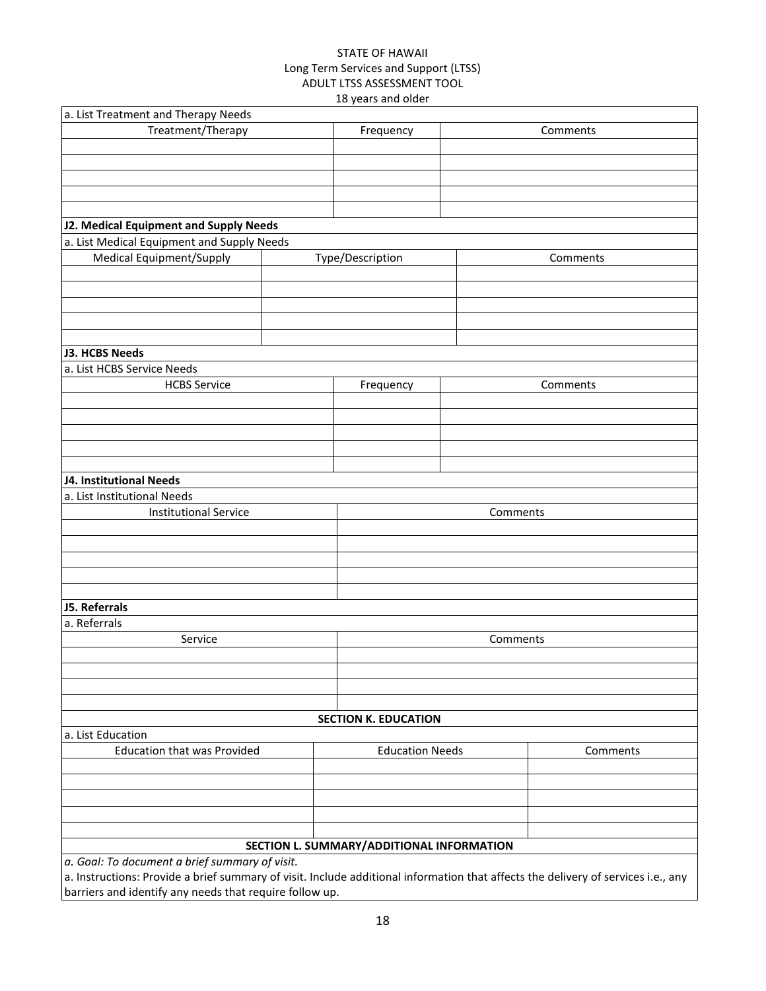| a. List Treatment and Therapy Needs                                                                                               |           |                                           |          |          |  |  |
|-----------------------------------------------------------------------------------------------------------------------------------|-----------|-------------------------------------------|----------|----------|--|--|
| Treatment/Therapy                                                                                                                 | Frequency |                                           | Comments |          |  |  |
|                                                                                                                                   |           |                                           |          |          |  |  |
|                                                                                                                                   |           |                                           |          |          |  |  |
|                                                                                                                                   |           |                                           |          |          |  |  |
|                                                                                                                                   |           |                                           |          |          |  |  |
|                                                                                                                                   |           |                                           |          |          |  |  |
| J2. Medical Equipment and Supply Needs                                                                                            |           |                                           |          |          |  |  |
| a. List Medical Equipment and Supply Needs                                                                                        |           |                                           |          |          |  |  |
| <b>Medical Equipment/Supply</b>                                                                                                   |           | Type/Description                          |          | Comments |  |  |
|                                                                                                                                   |           |                                           |          |          |  |  |
|                                                                                                                                   |           |                                           |          |          |  |  |
|                                                                                                                                   |           |                                           |          |          |  |  |
|                                                                                                                                   |           |                                           |          |          |  |  |
|                                                                                                                                   |           |                                           |          |          |  |  |
| J3. HCBS Needs                                                                                                                    |           |                                           |          |          |  |  |
| a. List HCBS Service Needs                                                                                                        |           |                                           |          |          |  |  |
| <b>HCBS Service</b>                                                                                                               |           | Frequency                                 |          | Comments |  |  |
|                                                                                                                                   |           |                                           |          |          |  |  |
|                                                                                                                                   |           |                                           |          |          |  |  |
|                                                                                                                                   |           |                                           |          |          |  |  |
|                                                                                                                                   |           |                                           |          |          |  |  |
| <b>J4. Institutional Needs</b>                                                                                                    |           |                                           |          |          |  |  |
| a. List Institutional Needs                                                                                                       |           |                                           |          |          |  |  |
| <b>Institutional Service</b>                                                                                                      |           |                                           | Comments |          |  |  |
|                                                                                                                                   |           |                                           |          |          |  |  |
|                                                                                                                                   |           |                                           |          |          |  |  |
|                                                                                                                                   |           |                                           |          |          |  |  |
|                                                                                                                                   |           |                                           |          |          |  |  |
|                                                                                                                                   |           |                                           |          |          |  |  |
| J5. Referrals                                                                                                                     |           |                                           |          |          |  |  |
| a. Referrals                                                                                                                      |           |                                           |          |          |  |  |
| Service                                                                                                                           |           |                                           | Comments |          |  |  |
|                                                                                                                                   |           |                                           |          |          |  |  |
|                                                                                                                                   |           |                                           |          |          |  |  |
|                                                                                                                                   |           |                                           |          |          |  |  |
|                                                                                                                                   |           |                                           |          |          |  |  |
|                                                                                                                                   |           | <b>SECTION K. EDUCATION</b>               |          |          |  |  |
| a. List Education                                                                                                                 |           |                                           |          |          |  |  |
| <b>Education that was Provided</b>                                                                                                |           | <b>Education Needs</b>                    |          | Comments |  |  |
|                                                                                                                                   |           |                                           |          |          |  |  |
|                                                                                                                                   |           |                                           |          |          |  |  |
|                                                                                                                                   |           |                                           |          |          |  |  |
|                                                                                                                                   |           |                                           |          |          |  |  |
|                                                                                                                                   |           |                                           |          |          |  |  |
|                                                                                                                                   |           | SECTION L. SUMMARY/ADDITIONAL INFORMATION |          |          |  |  |
| a. Goal: To document a brief summary of visit.                                                                                    |           |                                           |          |          |  |  |
| a. Instructions: Provide a brief summary of visit. Include additional information that affects the delivery of services i.e., any |           |                                           |          |          |  |  |

barriers and identify any needs that require follow up.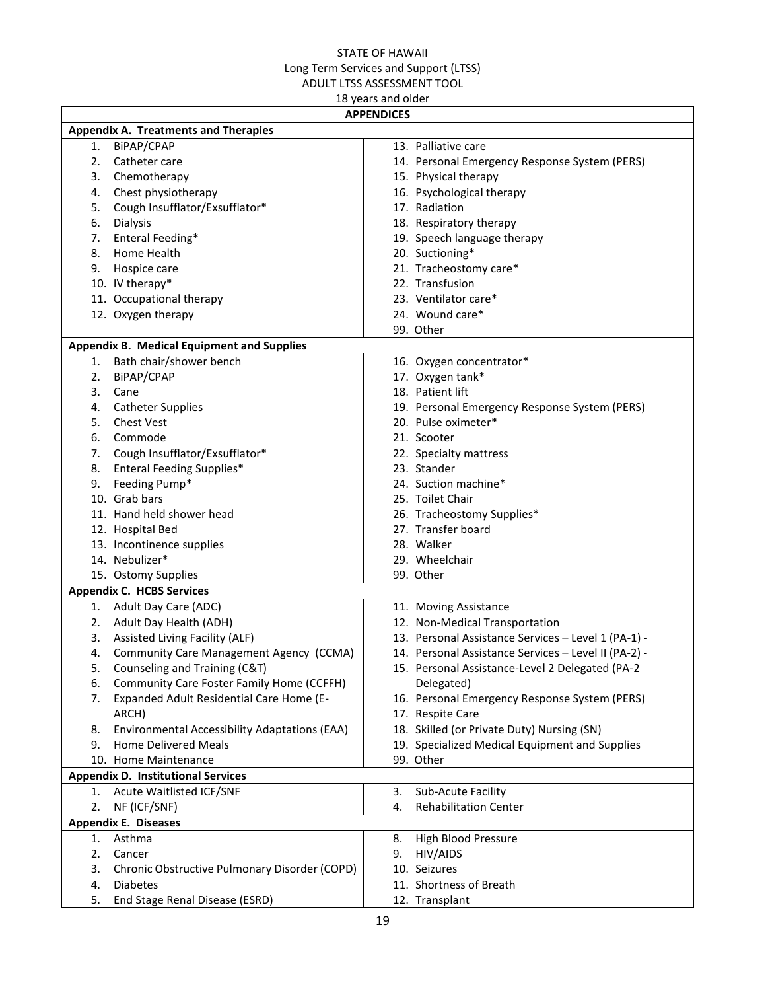| <b>APPENDICES</b>                                    |                                                      |  |  |  |  |  |  |
|------------------------------------------------------|------------------------------------------------------|--|--|--|--|--|--|
| <b>Appendix A. Treatments and Therapies</b>          |                                                      |  |  |  |  |  |  |
| BiPAP/CPAP<br>1.                                     | 13. Palliative care                                  |  |  |  |  |  |  |
| Catheter care<br>2.                                  | 14. Personal Emergency Response System (PERS)        |  |  |  |  |  |  |
| Chemotherapy<br>3.                                   | 15. Physical therapy                                 |  |  |  |  |  |  |
| Chest physiotherapy<br>4.                            | 16. Psychological therapy                            |  |  |  |  |  |  |
| Cough Insufflator/Exsufflator*<br>5.                 | 17. Radiation                                        |  |  |  |  |  |  |
| Dialysis<br>6.                                       | 18. Respiratory therapy                              |  |  |  |  |  |  |
| Enteral Feeding*<br>7.                               | 19. Speech language therapy                          |  |  |  |  |  |  |
| 8.<br>Home Health                                    | 20. Suctioning*                                      |  |  |  |  |  |  |
| Hospice care<br>9.                                   | 21. Tracheostomy care*                               |  |  |  |  |  |  |
| 10. IV therapy*                                      | 22. Transfusion                                      |  |  |  |  |  |  |
| 11. Occupational therapy                             | 23. Ventilator care*                                 |  |  |  |  |  |  |
| 12. Oxygen therapy                                   | 24. Wound care*                                      |  |  |  |  |  |  |
|                                                      | 99. Other                                            |  |  |  |  |  |  |
| Appendix B. Medical Equipment and Supplies           |                                                      |  |  |  |  |  |  |
| 1. Bath chair/shower bench                           | 16. Oxygen concentrator*                             |  |  |  |  |  |  |
| 2.<br>BiPAP/CPAP                                     | 17. Oxygen tank*                                     |  |  |  |  |  |  |
| 3.<br>Cane                                           | 18. Patient lift                                     |  |  |  |  |  |  |
| <b>Catheter Supplies</b><br>4.                       | 19. Personal Emergency Response System (PERS)        |  |  |  |  |  |  |
| <b>Chest Vest</b><br>5.                              | 20. Pulse oximeter*                                  |  |  |  |  |  |  |
| Commode<br>6.                                        | 21. Scooter                                          |  |  |  |  |  |  |
| Cough Insufflator/Exsufflator*<br>7.                 | 22. Specialty mattress                               |  |  |  |  |  |  |
| <b>Enteral Feeding Supplies*</b><br>8.               | 23. Stander                                          |  |  |  |  |  |  |
| Feeding Pump*<br>9.                                  | 24. Suction machine*                                 |  |  |  |  |  |  |
| 10. Grab bars                                        | 25. Toilet Chair                                     |  |  |  |  |  |  |
| 11. Hand held shower head                            | 26. Tracheostomy Supplies*                           |  |  |  |  |  |  |
| 12. Hospital Bed                                     | 27. Transfer board                                   |  |  |  |  |  |  |
| 13. Incontinence supplies                            | 28. Walker                                           |  |  |  |  |  |  |
| 14. Nebulizer*                                       | 29. Wheelchair                                       |  |  |  |  |  |  |
| 15. Ostomy Supplies                                  | 99. Other                                            |  |  |  |  |  |  |
| <b>Appendix C. HCBS Services</b>                     |                                                      |  |  |  |  |  |  |
| 1. Adult Day Care (ADC)                              | 11. Moving Assistance                                |  |  |  |  |  |  |
| Adult Day Health (ADH)<br>2.                         | 12. Non-Medical Transportation                       |  |  |  |  |  |  |
| <b>Assisted Living Facility (ALF)</b><br>3.          | 13. Personal Assistance Services - Level 1 (PA-1) -  |  |  |  |  |  |  |
| <b>Community Care Management Agency (CCMA)</b><br>4. | 14. Personal Assistance Services - Level II (PA-2) - |  |  |  |  |  |  |
| Counseling and Training (C&T)<br>5.                  | 15. Personal Assistance-Level 2 Delegated (PA-2      |  |  |  |  |  |  |
| Community Care Foster Family Home (CCFFH)<br>6.      | Delegated)                                           |  |  |  |  |  |  |
| Expanded Adult Residential Care Home (E-<br>7.       | 16. Personal Emergency Response System (PERS)        |  |  |  |  |  |  |
| ARCH)                                                | 17. Respite Care                                     |  |  |  |  |  |  |
| Environmental Accessibility Adaptations (EAA)<br>8.  | 18. Skilled (or Private Duty) Nursing (SN)           |  |  |  |  |  |  |
| <b>Home Delivered Meals</b><br>9.                    | 19. Specialized Medical Equipment and Supplies       |  |  |  |  |  |  |
| 10. Home Maintenance                                 | 99. Other                                            |  |  |  |  |  |  |
| <b>Appendix D. Institutional Services</b>            |                                                      |  |  |  |  |  |  |
| Acute Waitlisted ICF/SNF<br>1.                       | Sub-Acute Facility<br>3.                             |  |  |  |  |  |  |
| NF (ICF/SNF)<br>2.                                   | <b>Rehabilitation Center</b><br>4.                   |  |  |  |  |  |  |
| <b>Appendix E. Diseases</b>                          |                                                      |  |  |  |  |  |  |
| Asthma<br>1.                                         | High Blood Pressure<br>8.                            |  |  |  |  |  |  |
| 2.<br>Cancer                                         | HIV/AIDS<br>9.                                       |  |  |  |  |  |  |
| 3.<br>Chronic Obstructive Pulmonary Disorder (COPD)  | 10. Seizures                                         |  |  |  |  |  |  |
| 4.<br><b>Diabetes</b>                                | 11. Shortness of Breath                              |  |  |  |  |  |  |
| 5.<br>End Stage Renal Disease (ESRD)                 | 12. Transplant                                       |  |  |  |  |  |  |